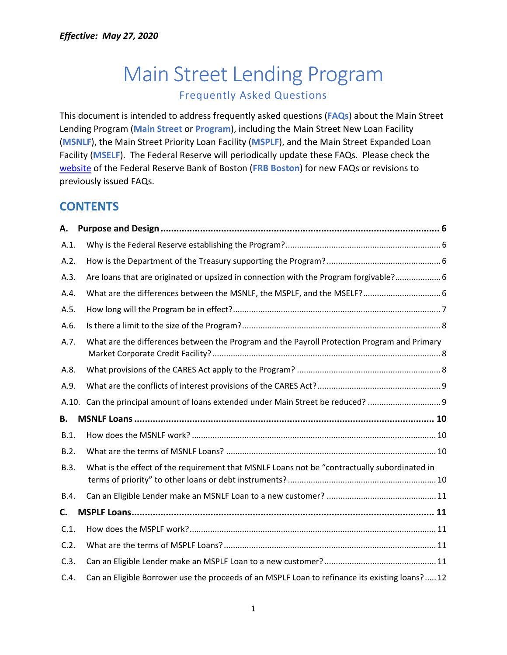# Main Street Lending Program Frequently Asked Questions

This document is intended to address frequently asked questions (**FAQs**) about the Main Street Lending Program (**Main Street** or **Program**), including the Main Street New Loan Facility (**MSNLF**), the Main Street Priority Loan Facility (**MSPLF**), and the Main Street Expanded Loan Facility (**MSELF**). The Federal Reserve will periodically update these FAQs. Please check the [website](https://www.bostonfed.org/mslp-faqs) of the Federal Reserve Bank of Boston (**FRB Boston**) for new FAQs or revisions to previously issued FAQs.

## **CONTENTS**

| А.    |                                                                                                |  |
|-------|------------------------------------------------------------------------------------------------|--|
| A.1.  |                                                                                                |  |
| A.2.  |                                                                                                |  |
| A.3.  | Are loans that are originated or upsized in connection with the Program forgivable? 6          |  |
| A.4.  |                                                                                                |  |
| A.5.  |                                                                                                |  |
| A.6.  |                                                                                                |  |
| A.7.  | What are the differences between the Program and the Payroll Protection Program and Primary    |  |
| A.8.  |                                                                                                |  |
| A.9.  |                                                                                                |  |
| A.10. |                                                                                                |  |
| В.    |                                                                                                |  |
| B.1.  |                                                                                                |  |
| B.2.  |                                                                                                |  |
| B.3.  | What is the effect of the requirement that MSNLF Loans not be "contractually subordinated in   |  |
| B.4.  |                                                                                                |  |
| C.    |                                                                                                |  |
| C.1.  |                                                                                                |  |
| C.2.  |                                                                                                |  |
| C.3.  |                                                                                                |  |
| C.4.  | Can an Eligible Borrower use the proceeds of an MSPLF Loan to refinance its existing loans? 12 |  |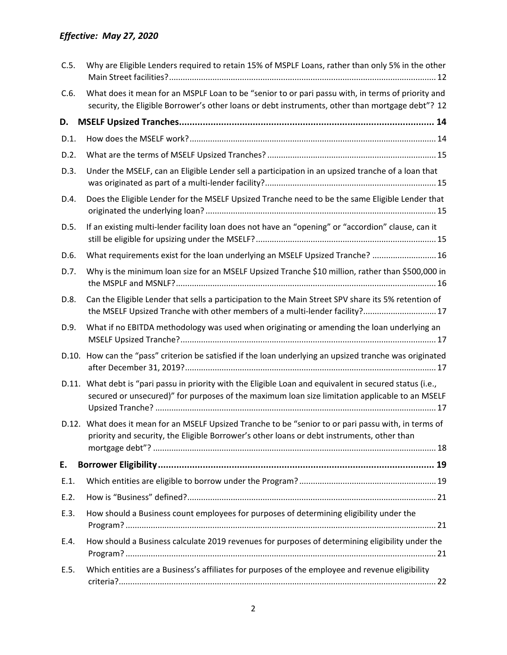| C.5.  | Why are Eligible Lenders required to retain 15% of MSPLF Loans, rather than only 5% in the other                                                                                                      |
|-------|-------------------------------------------------------------------------------------------------------------------------------------------------------------------------------------------------------|
| C.6.  | What does it mean for an MSPLF Loan to be "senior to or pari passu with, in terms of priority and<br>security, the Eligible Borrower's other loans or debt instruments, other than mortgage debt"? 12 |
| D.    |                                                                                                                                                                                                       |
| D.1.  |                                                                                                                                                                                                       |
| D.2.  |                                                                                                                                                                                                       |
| D.3.  | Under the MSELF, can an Eligible Lender sell a participation in an upsized tranche of a loan that                                                                                                     |
| D.4.  | Does the Eligible Lender for the MSELF Upsized Tranche need to be the same Eligible Lender that                                                                                                       |
| D.5.  | If an existing multi-lender facility loan does not have an "opening" or "accordion" clause, can it                                                                                                    |
| D.6.  | What requirements exist for the loan underlying an MSELF Upsized Tranche?  16                                                                                                                         |
| D.7.  | Why is the minimum loan size for an MSELF Upsized Tranche \$10 million, rather than \$500,000 in                                                                                                      |
| D.8.  | Can the Eligible Lender that sells a participation to the Main Street SPV share its 5% retention of<br>the MSELF Upsized Tranche with other members of a multi-lender facility? 17                    |
| D.9.  | What if no EBITDA methodology was used when originating or amending the loan underlying an                                                                                                            |
|       | D.10. How can the "pass" criterion be satisfied if the loan underlying an upsized tranche was originated                                                                                              |
| D.11. | What debt is "pari passu in priority with the Eligible Loan and equivalent in secured status (i.e.,<br>secured or unsecured)" for purposes of the maximum loan size limitation applicable to an MSELF |
|       | D.12. What does it mean for an MSELF Upsized Tranche to be "senior to or pari passu with, in terms of<br>priority and security, the Eligible Borrower's other loans or debt instruments, other than   |
| E.    |                                                                                                                                                                                                       |
| E.1.  |                                                                                                                                                                                                       |
| E.2.  |                                                                                                                                                                                                       |
| E.3.  | How should a Business count employees for purposes of determining eligibility under the                                                                                                               |
| E.4.  | How should a Business calculate 2019 revenues for purposes of determining eligibility under the                                                                                                       |
| E.5.  | Which entities are a Business's affiliates for purposes of the employee and revenue eligibility                                                                                                       |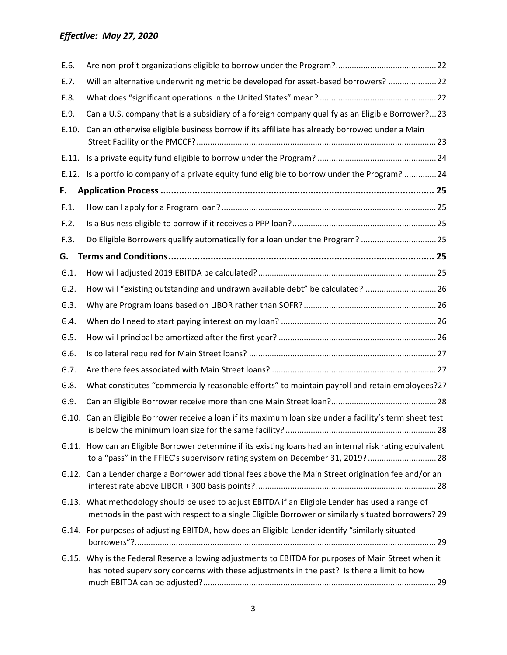| E.6.    |                                                                                                                                                                                                        |  |
|---------|--------------------------------------------------------------------------------------------------------------------------------------------------------------------------------------------------------|--|
| E.7.    | Will an alternative underwriting metric be developed for asset-based borrowers?  22                                                                                                                    |  |
| E.8.    |                                                                                                                                                                                                        |  |
| E.9.    | Can a U.S. company that is a subsidiary of a foreign company qualify as an Eligible Borrower?23                                                                                                        |  |
| E.10.   | Can an otherwise eligible business borrow if its affiliate has already borrowed under a Main                                                                                                           |  |
|         |                                                                                                                                                                                                        |  |
|         | E.12. Is a portfolio company of a private equity fund eligible to borrow under the Program?  24                                                                                                        |  |
| F.      |                                                                                                                                                                                                        |  |
| F.1.    |                                                                                                                                                                                                        |  |
| F.2.    |                                                                                                                                                                                                        |  |
| F.3.    | Do Eligible Borrowers qualify automatically for a loan under the Program?  25                                                                                                                          |  |
| G.      |                                                                                                                                                                                                        |  |
| $G.1$ . |                                                                                                                                                                                                        |  |
| G.2.    | How will "existing outstanding and undrawn available debt" be calculated?  26                                                                                                                          |  |
| G.3.    |                                                                                                                                                                                                        |  |
| G.4.    |                                                                                                                                                                                                        |  |
| G.5.    |                                                                                                                                                                                                        |  |
| G.6.    |                                                                                                                                                                                                        |  |
| G.7.    |                                                                                                                                                                                                        |  |
| G.8.    | What constitutes "commercially reasonable efforts" to maintain payroll and retain employees?27                                                                                                         |  |
| G.9.    |                                                                                                                                                                                                        |  |
| G.10.   | Can an Eligible Borrower receive a loan if its maximum loan size under a facility's term sheet test                                                                                                    |  |
|         | G.11. How can an Eligible Borrower determine if its existing loans had an internal risk rating equivalent<br>to a "pass" in the FFIEC's supervisory rating system on December 31, 2019?  28            |  |
|         | G.12. Can a Lender charge a Borrower additional fees above the Main Street origination fee and/or an                                                                                                   |  |
|         | G.13. What methodology should be used to adjust EBITDA if an Eligible Lender has used a range of<br>methods in the past with respect to a single Eligible Borrower or similarly situated borrowers? 29 |  |
|         | G.14. For purposes of adjusting EBITDA, how does an Eligible Lender identify "similarly situated                                                                                                       |  |
|         | G.15. Why is the Federal Reserve allowing adjustments to EBITDA for purposes of Main Street when it<br>has noted supervisory concerns with these adjustments in the past? Is there a limit to how      |  |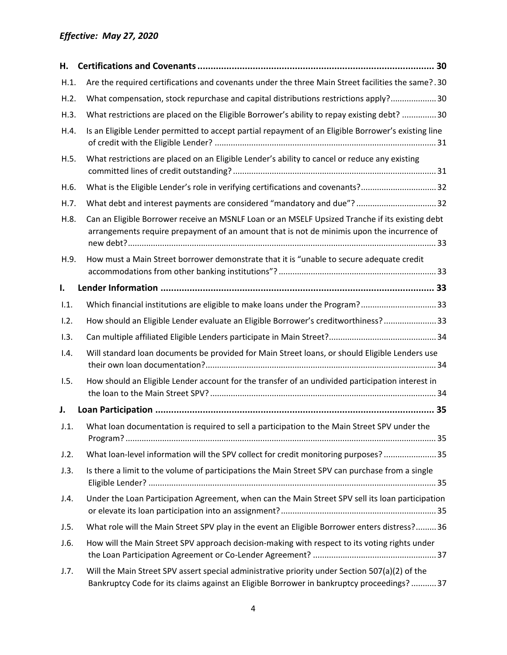| Н.   |                                                                                                                                                                                               |
|------|-----------------------------------------------------------------------------------------------------------------------------------------------------------------------------------------------|
| H.1. | Are the required certifications and covenants under the three Main Street facilities the same?.30                                                                                             |
| H.2. | What compensation, stock repurchase and capital distributions restrictions apply? 30                                                                                                          |
| H.3. | What restrictions are placed on the Eligible Borrower's ability to repay existing debt? 30                                                                                                    |
| H.4. | Is an Eligible Lender permitted to accept partial repayment of an Eligible Borrower's existing line                                                                                           |
| H.5. | What restrictions are placed on an Eligible Lender's ability to cancel or reduce any existing                                                                                                 |
| H.6. | What is the Eligible Lender's role in verifying certifications and covenants?32                                                                                                               |
| H.7. | What debt and interest payments are considered "mandatory and due"?32                                                                                                                         |
| H.8. | Can an Eligible Borrower receive an MSNLF Loan or an MSELF Upsized Tranche if its existing debt<br>arrangements require prepayment of an amount that is not de minimis upon the incurrence of |
| H.9. | How must a Main Street borrower demonstrate that it is "unable to secure adequate credit                                                                                                      |
| I.   |                                                                                                                                                                                               |
| 1.1. | Which financial institutions are eligible to make loans under the Program?33                                                                                                                  |
| 1.2. | How should an Eligible Lender evaluate an Eligible Borrower's creditworthiness? 33                                                                                                            |
| 1.3. |                                                                                                                                                                                               |
| 1.4. | Will standard loan documents be provided for Main Street loans, or should Eligible Lenders use                                                                                                |
| 1.5. | How should an Eligible Lender account for the transfer of an undivided participation interest in                                                                                              |
| J.   |                                                                                                                                                                                               |
| J.1. | What loan documentation is required to sell a participation to the Main Street SPV under the                                                                                                  |
| J.2. | What loan-level information will the SPV collect for credit monitoring purposes? 35                                                                                                           |
| J.3. | Is there a limit to the volume of participations the Main Street SPV can purchase from a single                                                                                               |
| J.4. | Under the Loan Participation Agreement, when can the Main Street SPV sell its loan participation                                                                                              |
| J.5. | What role will the Main Street SPV play in the event an Eligible Borrower enters distress? 36                                                                                                 |
| J.6. | How will the Main Street SPV approach decision-making with respect to its voting rights under                                                                                                 |
| J.7. | Will the Main Street SPV assert special administrative priority under Section 507(a)(2) of the<br>Bankruptcy Code for its claims against an Eligible Borrower in bankruptcy proceedings?37    |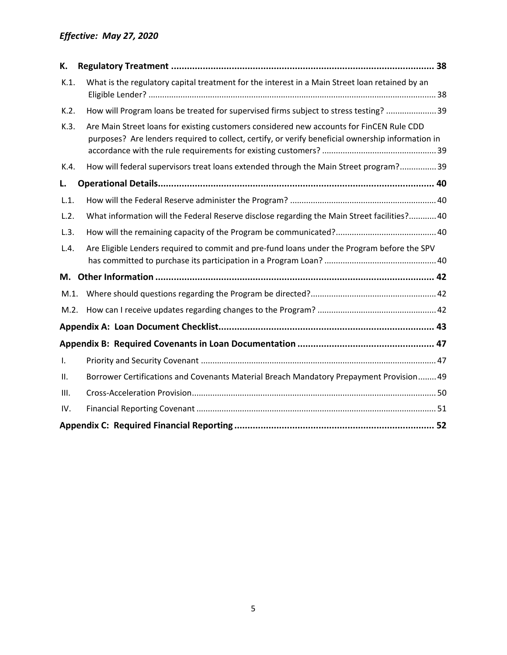<span id="page-4-0"></span>

| К.           |                                                                                                                                                                                               |
|--------------|-----------------------------------------------------------------------------------------------------------------------------------------------------------------------------------------------|
| K.1.         | What is the regulatory capital treatment for the interest in a Main Street loan retained by an                                                                                                |
| K.2.         | How will Program loans be treated for supervised firms subject to stress testing? 39                                                                                                          |
| K.3.         | Are Main Street loans for existing customers considered new accounts for FinCEN Rule CDD<br>purposes? Are lenders required to collect, certify, or verify beneficial ownership information in |
| K.4.         | How will federal supervisors treat loans extended through the Main Street program? 39                                                                                                         |
| L.           |                                                                                                                                                                                               |
| L.1.         |                                                                                                                                                                                               |
| L.2.         | What information will the Federal Reserve disclose regarding the Main Street facilities? 40                                                                                                   |
| L.3.         |                                                                                                                                                                                               |
| L.4.         | Are Eligible Lenders required to commit and pre-fund loans under the Program before the SPV                                                                                                   |
|              |                                                                                                                                                                                               |
| M.1.         |                                                                                                                                                                                               |
| M.2.         |                                                                                                                                                                                               |
|              |                                                                                                                                                                                               |
|              |                                                                                                                                                                                               |
| $\mathbf{L}$ |                                                                                                                                                                                               |
| Ш.           | Borrower Certifications and Covenants Material Breach Mandatory Prepayment Provision 49                                                                                                       |
| III.         |                                                                                                                                                                                               |
| IV.          |                                                                                                                                                                                               |
|              |                                                                                                                                                                                               |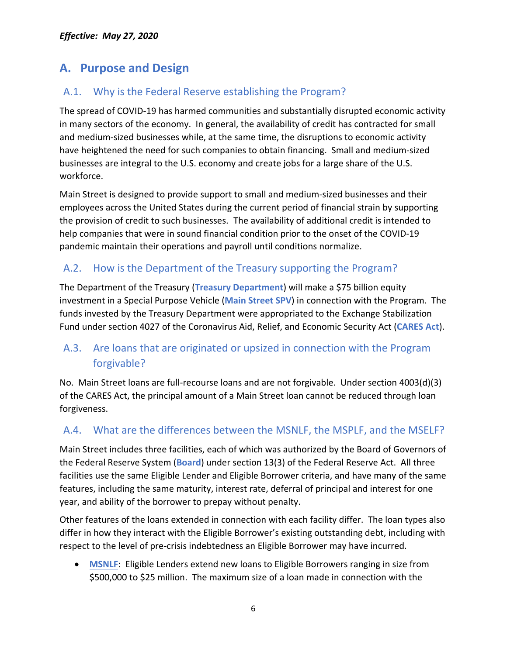## **A. Purpose and Design**

## <span id="page-5-0"></span>A.1. Why is the Federal Reserve establishing the Program?

The spread of COVID-19 has harmed communities and substantially disrupted economic activity in many sectors of the economy. In general, the availability of credit has contracted for small and medium-sized businesses while, at the same time, the disruptions to economic activity have heightened the need for such companies to obtain financing. Small and medium-sized businesses are integral to the U.S. economy and create jobs for a large share of the U.S. workforce.

Main Street is designed to provide support to small and medium-sized businesses and their employees across the United States during the current period of financial strain by supporting the provision of credit to such businesses.The availability of additional credit is intended to help companies that were in sound financial condition prior to the onset of the COVID-19 pandemic maintain their operations and payroll until conditions normalize.

### <span id="page-5-1"></span>A.2. How is the Department of the Treasury supporting the Program?

The Department of the Treasury (**Treasury Department**) will make a \$75 billion equity investment in a Special Purpose Vehicle (**Main Street SPV**) in connection with the Program. The funds invested by the Treasury Department were appropriated to the Exchange Stabilization Fund under section 4027 of the Coronavirus Aid, Relief, and Economic Security Act (**CARES Act**).

## <span id="page-5-2"></span>A.3. Are loans that are originated or upsized in connection with the Program forgivable?

No. Main Street loans are full-recourse loans and are not forgivable. Under section 4003(d)(3) of the CARES Act, the principal amount of a Main Street loan cannot be reduced through loan forgiveness.

### <span id="page-5-3"></span>A.4. What are the differences between the MSNLF, the MSPLF, and the MSELF?

Main Street includes three facilities, each of which was authorized by the Board of Governors of the Federal Reserve System (**Board**) under section 13(3) of the Federal Reserve Act. All three facilities use the same Eligible Lender and Eligible Borrower criteria, and have many of the same features, including the same maturity, interest rate, deferral of principal and interest for one year, and ability of the borrower to prepay without penalty.

Other features of the loans extended in connection with each facility differ. The loan types also differ in how they interact with the Eligible Borrower's existing outstanding debt, including with respect to the level of pre-crisis indebtedness an Eligible Borrower may have incurred.

• **MSNLF**: Eligible Lenders extend new loans to Eligible Borrowers ranging in size from \$500,000 to \$25 million. The maximum size of a loan made in connection with the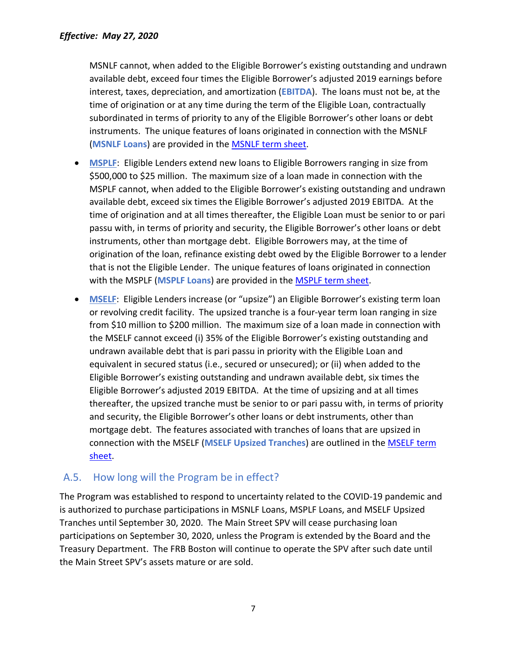MSNLF cannot, when added to the Eligible Borrower's existing outstanding and undrawn available debt, exceed four times the Eligible Borrower's adjusted 2019 earnings before interest, taxes, depreciation, and amortization (**EBITDA**). The loans must not be, at the time of origination or at any time during the term of the Eligible Loan, contractually subordinated in terms of priority to any of the Eligible Borrower's other loans or debt instruments. The unique features of loans originated in connection with the MSNLF (**MSNLF Loans**) are provided in the [MSNLF term sheet.](https://www.federalreserve.gov/newsevents/pressreleases/files/monetary20200430a1.pdf)

- **MSPLF:** Eligible Lenders extend new loans to Eligible Borrowers ranging in size from \$500,000 to \$25 million. The maximum size of a loan made in connection with the MSPLF cannot, when added to the Eligible Borrower's existing outstanding and undrawn available debt, exceed six times the Eligible Borrower's adjusted 2019 EBITDA. At the time of origination and at all times thereafter, the Eligible Loan must be senior to or pari passu with, in terms of priority and security, the Eligible Borrower's other loans or debt instruments, other than mortgage debt. Eligible Borrowers may, at the time of origination of the loan, refinance existing debt owed by the Eligible Borrower to a lender that is not the Eligible Lender. The unique features of loans originated in connection with the MSPLF (**MSPLF Loans**) are provided in the [MSPLF term sheet.](https://www.federalreserve.gov/newsevents/pressreleases/files/monetary20200430a2.pdf)
- **MSELF**: Eligible Lenders increase (or "upsize") an Eligible Borrower's existing term loan or revolving credit facility. The upsized tranche is a four-year term loan ranging in size from \$10 million to \$200 million. The maximum size of a loan made in connection with the MSELF cannot exceed (i) 35% of the Eligible Borrower's existing outstanding and undrawn available debt that is pari passu in priority with the Eligible Loan and equivalent in secured status (i.e., secured or unsecured); or (ii) when added to the Eligible Borrower's existing outstanding and undrawn available debt, six times the Eligible Borrower's adjusted 2019 EBITDA. At the time of upsizing and at all times thereafter, the upsized tranche must be senior to or pari passu with, in terms of priority and security, the Eligible Borrower's other loans or debt instruments, other than mortgage debt. The features associated with tranches of loans that are upsized in connection with the MSELF (**MSELF Upsized Tranches**) are outlined in the [MSELF term](https://www.federalreserve.gov/newsevents/pressreleases/files/monetary20200430a3.pdf)  [sheet.](https://www.federalreserve.gov/newsevents/pressreleases/files/monetary20200430a3.pdf)

#### <span id="page-6-0"></span>A.5. How long will the Program be in effect?

The Program was established to respond to uncertainty related to the COVID-19 pandemic and is authorized to purchase participations in MSNLF Loans, MSPLF Loans, and MSELF Upsized Tranches until September 30, 2020. The Main Street SPV will cease purchasing loan participations on September 30, 2020, unless the Program is extended by the Board and the Treasury Department. The FRB Boston will continue to operate the SPV after such date until the Main Street SPV's assets mature or are sold.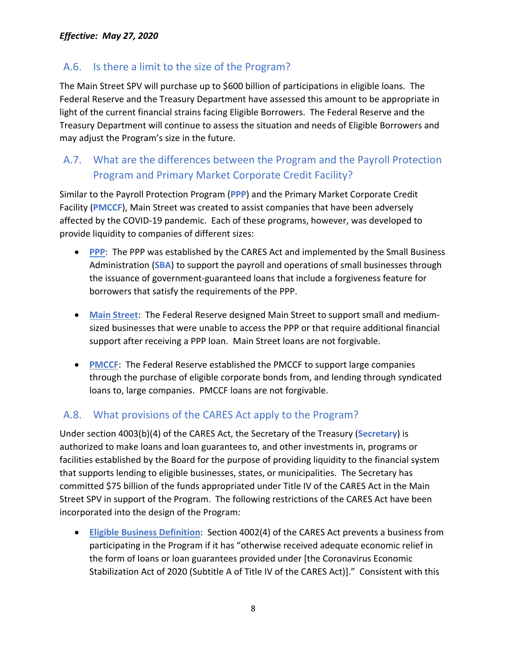#### <span id="page-7-0"></span>A.6. Is there a limit to the size of the Program?

The Main Street SPV will purchase up to \$600 billion of participations in eligible loans. The Federal Reserve and the Treasury Department have assessed this amount to be appropriate in light of the current financial strains facing Eligible Borrowers. The Federal Reserve and the Treasury Department will continue to assess the situation and needs of Eligible Borrowers and may adjust the Program's size in the future.

## <span id="page-7-1"></span>A.7. What are the differences between the Program and the Payroll Protection Program and Primary Market Corporate Credit Facility?

Similar to the Payroll Protection Program (**PPP**) and the Primary Market Corporate Credit Facility (**PMCCF**), Main Street was created to assist companies that have been adversely affected by the COVID-19 pandemic. Each of these programs, however, was developed to provide liquidity to companies of different sizes:

- **PPP**: The PPP was established by the CARES Act and implemented by the Small Business Administration (**SBA**) to support the payroll and operations of small businesses through the issuance of government-guaranteed loans that include a forgiveness feature for borrowers that satisfy the requirements of the PPP.
- **Main Street**: The Federal Reserve designed Main Street to support small and mediumsized businesses that were unable to access the PPP or that require additional financial support after receiving a PPP loan. Main Street loans are not forgivable.
- **PMCCF**: The Federal Reserve established the PMCCF to support large companies through the purchase of eligible corporate bonds from, and lending through syndicated loans to, large companies. PMCCF loans are not forgivable.

#### <span id="page-7-2"></span>A.8. What provisions of the CARES Act apply to the Program?

Under section 4003(b)(4) of the CARES Act, the Secretary of the Treasury (**Secretary**) is authorized to make loans and loan guarantees to, and other investments in, programs or facilities established by the Board for the purpose of providing liquidity to the financial system that supports lending to eligible businesses, states, or municipalities. The Secretary has committed \$75 billion of the funds appropriated under Title IV of the CARES Act in the Main Street SPV in support of the Program. The following restrictions of the CARES Act have been incorporated into the design of the Program:

• **Eligible Business Definition**: Section 4002(4) of the CARES Act prevents a business from participating in the Program if it has "otherwise received adequate economic relief in the form of loans or loan guarantees provided under [the Coronavirus Economic Stabilization Act of 2020 (Subtitle A of Title IV of the CARES Act)]." Consistent with this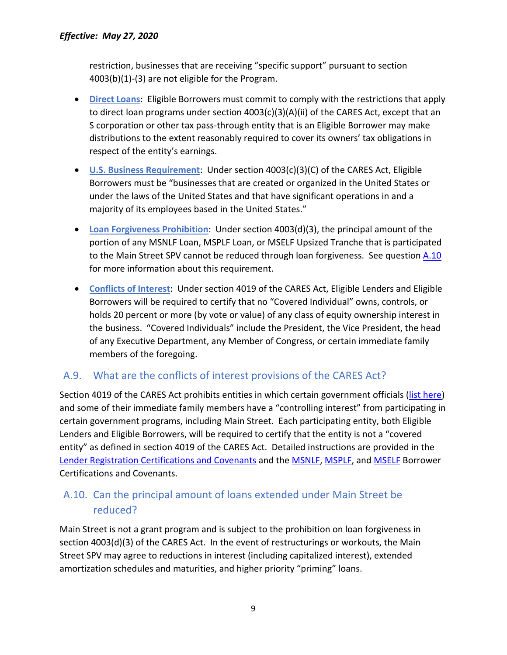restriction, businesses that are receiving "specific support" pursuant to section 4003(b)(1)-(3) are not eligible for the Program.

- **Direct Loans**: Eligible Borrowers must commit to comply with the restrictions that apply to direct loan programs under section 4003(c)(3)(A)(ii) of the CARES Act, except that an S corporation or other tax pass-through entity that is an Eligible Borrower may make distributions to the extent reasonably required to cover its owners' tax obligations in respect of the entity's earnings.
- **U.S. Business Requirement**: Under section 4003(c)(3)(C) of the CARES Act, Eligible Borrowers must be "businesses that are created or organized in the United States or under the laws of the United States and that have significant operations in and a majority of its employees based in the United States."
- **Loan Forgiveness Prohibition**: Under section 4003(d)(3), the principal amount of the portion of any MSNLF Loan, MSPLF Loan, or MSELF Upsized Tranche that is participated to the Main Street SPV cannot be reduced through loan forgiveness. See question [A.10](#page-8-1) for more information about this requirement.
- **Conflicts of Interest**: Under section 4019 of the CARES Act, Eligible Lenders and Eligible Borrowers will be required to certify that no "Covered Individual" owns, controls, or holds 20 percent or more (by vote or value) of any class of equity ownership interest in the business. "Covered Individuals" include the President, the Vice President, the head of any Executive Department, any Member of Congress, or certain immediate family members of the foregoing.

#### <span id="page-8-0"></span>A.9. What are the conflicts of interest provisions of the CARES Act?

Section 4019 of the CARES Act prohibits entities in which certain government officials [\(list here\)](https://home.treasury.gov/system/files/136/Government-Officials-May-2020-5-12-2020.pdf) and some of their immediate family members have a "controlling interest" from participating in certain government programs, including Main Street. Each participating entity, both Eligible Lenders and Eligible Borrowers, will be required to certify that the entity is not a "covered entity" as defined in section 4019 of the CARES Act. Detailed instructions are provided in the [Lender Registration Certifications and Covenants](https://www.bostonfed.org/-/media/Documents/special-lending-facilities/mslp/legal/lender-registration-certifications-and-covenants.pdf) and the [MSNLF,](https://www.bostonfed.org/-/media/Documents/special-lending-facilities/mslp/legal/msnlf-borrower-certifications-and-covenants.pdf) [MSPLF,](https://www.bostonfed.org/-/media/Documents/special-lending-facilities/mslp/legal/msplf-borrower-certifications-and-covenants.pdf) and [MSELF](https://www.bostonfed.org/-/media/Documents/special-lending-facilities/mslp/legal/mself-borrower-certifications-and-covenants.pdf) Borrower Certifications and Covenants.

### <span id="page-8-1"></span>A.10. Can the principal amount of loans extended under Main Street be reduced?

Main Street is not a grant program and is subject to the prohibition on loan forgiveness in section 4003(d)(3) of the CARES Act. In the event of restructurings or workouts, the Main Street SPV may agree to reductions in interest (including capitalized interest), extended amortization schedules and maturities, and higher priority "priming" loans.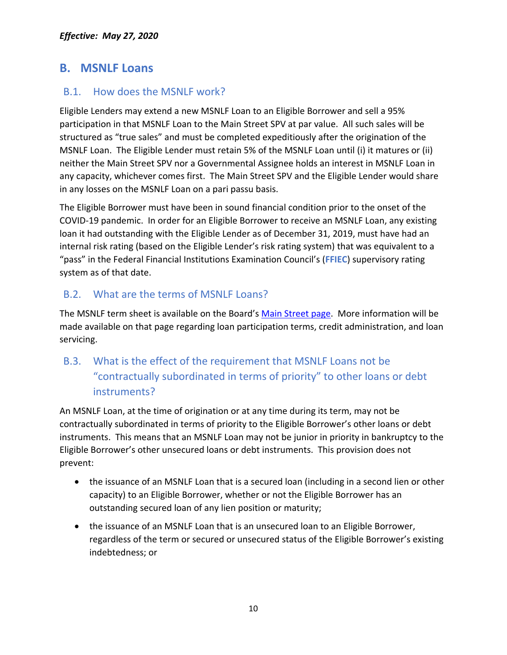## <span id="page-9-0"></span>**B. MSNLF Loans**

#### <span id="page-9-1"></span>B.1. How does the MSNLF work?

Eligible Lenders may extend a new MSNLF Loan to an Eligible Borrower and sell a 95% participation in that MSNLF Loan to the Main Street SPV at par value. All such sales will be structured as "true sales" and must be completed expeditiously after the origination of the MSNLF Loan. The Eligible Lender must retain 5% of the MSNLF Loan until (i) it matures or (ii) neither the Main Street SPV nor a Governmental Assignee holds an interest in MSNLF Loan in any capacity, whichever comes first. The Main Street SPV and the Eligible Lender would share in any losses on the MSNLF Loan on a pari passu basis.

The Eligible Borrower must have been in sound financial condition prior to the onset of the COVID-19 pandemic. In order for an Eligible Borrower to receive an MSNLF Loan, any existing loan it had outstanding with the Eligible Lender as of December 31, 2019, must have had an internal risk rating (based on the Eligible Lender's risk rating system) that was equivalent to a "pass" in the Federal Financial Institutions Examination Council's (**FFIEC**) supervisory rating system as of that date.

#### <span id="page-9-2"></span>B.2. What are the terms of MSNLF Loans?

The MSNLF term sheet is available on the Board's [Main Street page.](https://www.federalreserve.gov/monetarypolicy/mainstreetlending.htm) More information will be made available on that page regarding loan participation terms, credit administration, and loan servicing.

## <span id="page-9-3"></span>B.3. What is the effect of the requirement that MSNLF Loans not be "contractually subordinated in terms of priority" to other loans or debt instruments?

An MSNLF Loan, at the time of origination or at any time during its term, may not be contractually subordinated in terms of priority to the Eligible Borrower's other loans or debt instruments. This means that an MSNLF Loan may not be junior in priority in bankruptcy to the Eligible Borrower's other unsecured loans or debt instruments. This provision does not prevent:

- the issuance of an MSNLF Loan that is a secured loan (including in a second lien or other capacity) to an Eligible Borrower, whether or not the Eligible Borrower has an outstanding secured loan of any lien position or maturity;
- the issuance of an MSNLF Loan that is an unsecured loan to an Eligible Borrower, regardless of the term or secured or unsecured status of the Eligible Borrower's existing indebtedness; or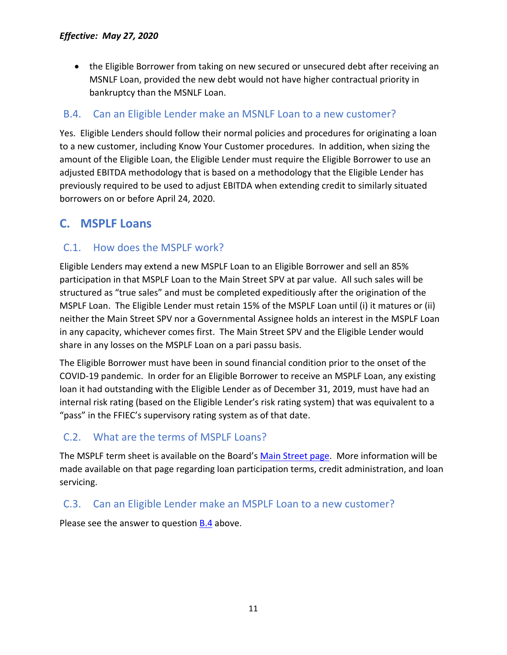• the Eligible Borrower from taking on new secured or unsecured debt after receiving an MSNLF Loan, provided the new debt would not have higher contractual priority in bankruptcy than the MSNLF Loan.

### <span id="page-10-0"></span>B.4. Can an Eligible Lender make an MSNLF Loan to a new customer?

Yes. Eligible Lenders should follow their normal policies and procedures for originating a loan to a new customer, including Know Your Customer procedures. In addition, when sizing the amount of the Eligible Loan, the Eligible Lender must require the Eligible Borrower to use an adjusted EBITDA methodology that is based on a methodology that the Eligible Lender has previously required to be used to adjust EBITDA when extending credit to similarly situated borrowers on or before April 24, 2020.

## <span id="page-10-1"></span>**C. MSPLF Loans**

### <span id="page-10-2"></span>C.1. How does the MSPLF work?

Eligible Lenders may extend a new MSPLF Loan to an Eligible Borrower and sell an 85% participation in that MSPLF Loan to the Main Street SPV at par value. All such sales will be structured as "true sales" and must be completed expeditiously after the origination of the MSPLF Loan. The Eligible Lender must retain 15% of the MSPLF Loan until (i) it matures or (ii) neither the Main Street SPV nor a Governmental Assignee holds an interest in the MSPLF Loan in any capacity, whichever comes first. The Main Street SPV and the Eligible Lender would share in any losses on the MSPLF Loan on a pari passu basis.

The Eligible Borrower must have been in sound financial condition prior to the onset of the COVID-19 pandemic. In order for an Eligible Borrower to receive an MSPLF Loan, any existing loan it had outstanding with the Eligible Lender as of December 31, 2019, must have had an internal risk rating (based on the Eligible Lender's risk rating system) that was equivalent to a "pass" in the FFIEC's supervisory rating system as of that date.

### <span id="page-10-3"></span>C.2. What are the terms of MSPLF Loans?

The MSPLF term sheet is available on the Board's [Main Street page.](https://www.federalreserve.gov/monetarypolicy/mainstreetlending.htm) More information will be made available on that page regarding loan participation terms, credit administration, and loan servicing.

#### <span id="page-10-4"></span>C.3. Can an Eligible Lender make an MSPLF Loan to a new customer?

Please see the answer to question [B.4](#page-10-0) above.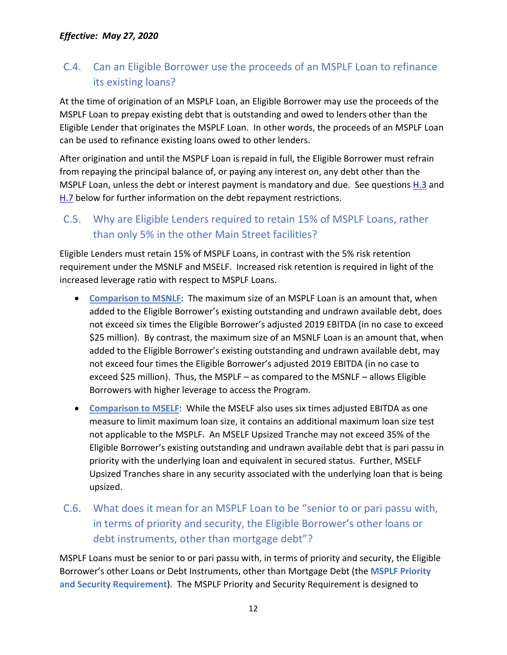## <span id="page-11-0"></span>C.4. Can an Eligible Borrower use the proceeds of an MSPLF Loan to refinance its existing loans?

At the time of origination of an MSPLF Loan, an Eligible Borrower may use the proceeds of the MSPLF Loan to prepay existing debt that is outstanding and owed to lenders other than the Eligible Lender that originates the MSPLF Loan. In other words, the proceeds of an MSPLF Loan can be used to refinance existing loans owed to other lenders.

After origination and until the MSPLF Loan is repaid in full, the Eligible Borrower must refrain from repaying the principal balance of, or paying any interest on, any debt other than the MSPLF Loan, unless the debt or interest payment is mandatory and due. See questions [H.3](#page-29-3) and [H.7](#page-31-1) below for further information on the debt repayment restrictions.

## <span id="page-11-1"></span>C.5. Why are Eligible Lenders required to retain 15% of MSPLF Loans, rather than only 5% in the other Main Street facilities?

Eligible Lenders must retain 15% of MSPLF Loans, in contrast with the 5% risk retention requirement under the MSNLF and MSELF. Increased risk retention is required in light of the increased leverage ratio with respect to MSPLF Loans.

- **Comparison to MSNLF**: The maximum size of an MSPLF Loan is an amount that, when added to the Eligible Borrower's existing outstanding and undrawn available debt, does not exceed six times the Eligible Borrower's adjusted 2019 EBITDA (in no case to exceed \$25 million). By contrast, the maximum size of an MSNLF Loan is an amount that, when added to the Eligible Borrower's existing outstanding and undrawn available debt, may not exceed four times the Eligible Borrower's adjusted 2019 EBITDA (in no case to exceed \$25 million). Thus, the MSPLF – as compared to the MSNLF – allows Eligible Borrowers with higher leverage to access the Program.
- **Comparison to MSELF**: While the MSELF also uses six times adjusted EBITDA as one measure to limit maximum loan size, it contains an additional maximum loan size test not applicable to the MSPLF. An MSELF Upsized Tranche may not exceed 35% of the Eligible Borrower's existing outstanding and undrawn available debt that is pari passu in priority with the underlying loan and equivalent in secured status. Further, MSELF Upsized Tranches share in any security associated with the underlying loan that is being upsized.
- <span id="page-11-2"></span>C.6. What does it mean for an MSPLF Loan to be "senior to or pari passu with, in terms of priority and security, the Eligible Borrower's other loans or debt instruments, other than mortgage debt"?

MSPLF Loans must be senior to or pari passu with, in terms of priority and security, the Eligible Borrower's other Loans or Debt Instruments, other than Mortgage Debt (the **MSPLF Priority and Security Requirement**). The MSPLF Priority and Security Requirement is designed to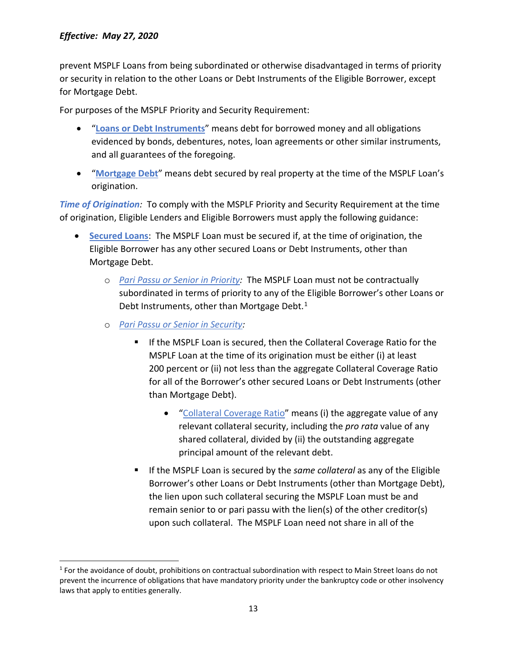prevent MSPLF Loans from being subordinated or otherwise disadvantaged in terms of priority or security in relation to the other Loans or Debt Instruments of the Eligible Borrower, except for Mortgage Debt.

For purposes of the MSPLF Priority and Security Requirement:

- "**Loans or Debt Instruments**" means debt for borrowed money and all obligations evidenced by bonds, debentures, notes, loan agreements or other similar instruments, and all guarantees of the foregoing.
- "**Mortgage Debt**" means debt secured by real property at the time of the MSPLF Loan's origination.

*Time of Origination:* To comply with the MSPLF Priority and Security Requirement at the time of origination, Eligible Lenders and Eligible Borrowers must apply the following guidance:

- **Secured Loans**: The MSPLF Loan must be secured if, at the time of origination, the Eligible Borrower has any other secured Loans or Debt Instruments, other than Mortgage Debt.
	- o *Pari Passu or Senior in Priority:* The MSPLF Loan must not be contractually subordinated in terms of priority to any of the Eligible Borrower's other Loans or Debt Instruments, other than Mortgage Debt. $<sup>1</sup>$  $<sup>1</sup>$  $<sup>1</sup>$ </sup>
	- o *Pari Passu or Senior in Security:*
		- If the MSPLF Loan is secured, then the Collateral Coverage Ratio for the MSPLF Loan at the time of its origination must be either (i) at least 200 percent or (ii) not less than the aggregate Collateral Coverage Ratio for all of the Borrower's other secured Loans or Debt Instruments (other than Mortgage Debt).
			- "Collateral Coverage Ratio" means (i) the aggregate value of any relevant collateral security, including the *pro rata* value of any shared collateral, divided by (ii) the outstanding aggregate principal amount of the relevant debt.
		- If the MSPLF Loan is secured by the *same collateral* as any of the Eligible Borrower's other Loans or Debt Instruments (other than Mortgage Debt), the lien upon such collateral securing the MSPLF Loan must be and remain senior to or pari passu with the lien(s) of the other creditor(s) upon such collateral. The MSPLF Loan need not share in all of the

<span id="page-12-0"></span> $1$  For the avoidance of doubt, prohibitions on contractual subordination with respect to Main Street loans do not prevent the incurrence of obligations that have mandatory priority under the bankruptcy code or other insolvency laws that apply to entities generally.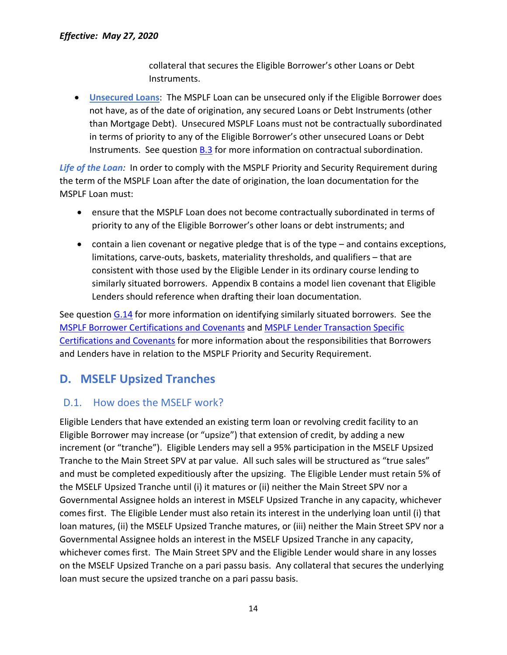collateral that secures the Eligible Borrower's other Loans or Debt Instruments.

• **Unsecured Loans**: The MSPLF Loan can be unsecured only if the Eligible Borrower does not have, as of the date of origination, any secured Loans or Debt Instruments (other than Mortgage Debt). Unsecured MSPLF Loans must not be contractually subordinated in terms of priority to any of the Eligible Borrower's other unsecured Loans or Debt Instruments. See question [B.3](#page-9-3) for more information on contractual subordination.

*Life of the Loan:* In order to comply with the MSPLF Priority and Security Requirement during the term of the MSPLF Loan after the date of origination, the loan documentation for the MSPLF Loan must:

- ensure that the MSPLF Loan does not become contractually subordinated in terms of priority to any of the Eligible Borrower's other loans or debt instruments; and
- contain a lien covenant or negative pledge that is of the type and contains exceptions, limitations, carve-outs, baskets, materiality thresholds, and qualifiers – that are consistent with those used by the Eligible Lender in its ordinary course lending to similarly situated borrowers. Appendix B contains a model lien covenant that Eligible Lenders should reference when drafting their loan documentation.

See question [G.14](#page-28-1) for more information on identifying similarly situated borrowers. See the [MSPLF Borrower Certifications and Covenants](https://www.bostonfed.org/-/media/Documents/special-lending-facilities/mslp/legal/msplf-borrower-certifications-and-covenants.pdf) and [MSPLF Lender Transaction Specific](https://www.bostonfed.org/-/media/Documents/special-lending-facilities/mslp/legal/msplf-lender-transaction-specific-certifications-and-covenants.pdf)  [Certifications and Covenants](https://www.bostonfed.org/-/media/Documents/special-lending-facilities/mslp/legal/msplf-lender-transaction-specific-certifications-and-covenants.pdf) for more information about the responsibilities that Borrowers and Lenders have in relation to the MSPLF Priority and Security Requirement.

## <span id="page-13-0"></span>**D. MSELF Upsized Tranches**

#### <span id="page-13-1"></span>D.1. How does the MSELF work?

Eligible Lenders that have extended an existing term loan or revolving credit facility to an Eligible Borrower may increase (or "upsize") that extension of credit, by adding a new increment (or "tranche"). Eligible Lenders may sell a 95% participation in the MSELF Upsized Tranche to the Main Street SPV at par value. All such sales will be structured as "true sales" and must be completed expeditiously after the upsizing. The Eligible Lender must retain 5% of the MSELF Upsized Tranche until (i) it matures or (ii) neither the Main Street SPV nor a Governmental Assignee holds an interest in MSELF Upsized Tranche in any capacity, whichever comes first. The Eligible Lender must also retain its interest in the underlying loan until (i) that loan matures, (ii) the MSELF Upsized Tranche matures, or (iii) neither the Main Street SPV nor a Governmental Assignee holds an interest in the MSELF Upsized Tranche in any capacity, whichever comes first. The Main Street SPV and the Eligible Lender would share in any losses on the MSELF Upsized Tranche on a pari passu basis. Any collateral that secures the underlying loan must secure the upsized tranche on a pari passu basis.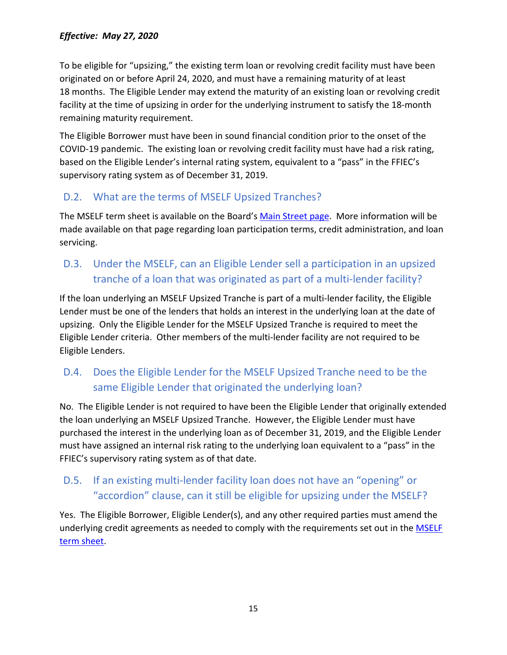To be eligible for "upsizing," the existing term loan or revolving credit facility must have been originated on or before April 24, 2020, and must have a remaining maturity of at least 18 months. The Eligible Lender may extend the maturity of an existing loan or revolving credit facility at the time of upsizing in order for the underlying instrument to satisfy the 18-month remaining maturity requirement.

The Eligible Borrower must have been in sound financial condition prior to the onset of the COVID-19 pandemic. The existing loan or revolving credit facility must have had a risk rating, based on the Eligible Lender's internal rating system, equivalent to a "pass" in the FFIEC's supervisory rating system as of December 31, 2019.

### <span id="page-14-0"></span>D.2. What are the terms of MSELF Upsized Tranches?

The MSELF term sheet is available on the Board's [Main Street page.](https://www.federalreserve.gov/monetarypolicy/mainstreetlending.htm) More information will be made available on that page regarding loan participation terms, credit administration, and loan servicing.

## <span id="page-14-1"></span>D.3. Under the MSELF, can an Eligible Lender sell a participation in an upsized tranche of a loan that was originated as part of a multi-lender facility?

If the loan underlying an MSELF Upsized Tranche is part of a multi-lender facility, the Eligible Lender must be one of the lenders that holds an interest in the underlying loan at the date of upsizing. Only the Eligible Lender for the MSELF Upsized Tranche is required to meet the Eligible Lender criteria. Other members of the multi-lender facility are not required to be Eligible Lenders.

## <span id="page-14-2"></span>D.4. Does the Eligible Lender for the MSELF Upsized Tranche need to be the same Eligible Lender that originated the underlying loan?

No. The Eligible Lender is not required to have been the Eligible Lender that originally extended the loan underlying an MSELF Upsized Tranche. However, the Eligible Lender must have purchased the interest in the underlying loan as of December 31, 2019, and the Eligible Lender must have assigned an internal risk rating to the underlying loan equivalent to a "pass" in the FFIEC's supervisory rating system as of that date.

## <span id="page-14-3"></span>D.5. If an existing multi-lender facility loan does not have an "opening" or "accordion" clause, can it still be eligible for upsizing under the MSELF?

Yes. The Eligible Borrower, Eligible Lender(s), and any other required parties must amend the underlying credit agreements as needed to comply with the requirements set out in the MSELF [term sheet.](https://www.federalreserve.gov/newsevents/pressreleases/files/monetary20200430a3.pdf)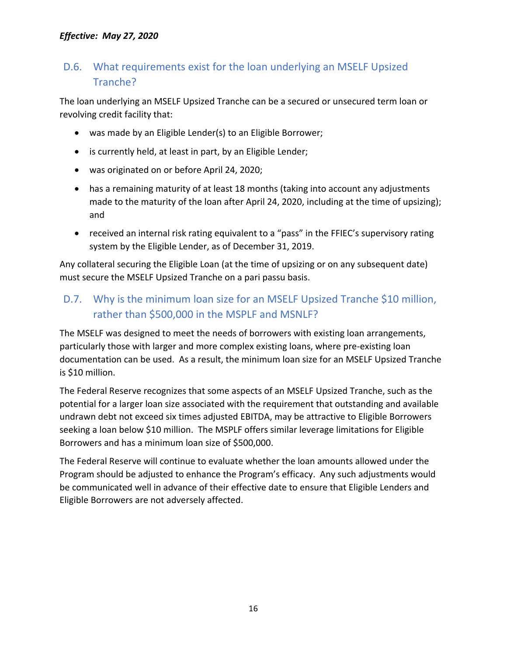### <span id="page-15-0"></span>D.6. What requirements exist for the loan underlying an MSELF Upsized Tranche?

The loan underlying an MSELF Upsized Tranche can be a secured or unsecured term loan or revolving credit facility that:

- was made by an Eligible Lender(s) to an Eligible Borrower;
- is currently held, at least in part, by an Eligible Lender;
- was originated on or before April 24, 2020;
- has a remaining maturity of at least 18 months (taking into account any adjustments made to the maturity of the loan after April 24, 2020, including at the time of upsizing); and
- received an internal risk rating equivalent to a "pass" in the FFIEC's supervisory rating system by the Eligible Lender, as of December 31, 2019.

Any collateral securing the Eligible Loan (at the time of upsizing or on any subsequent date) must secure the MSELF Upsized Tranche on a pari passu basis.

## <span id="page-15-1"></span>D.7. Why is the minimum loan size for an MSELF Upsized Tranche \$10 million, rather than \$500,000 in the MSPLF and MSNLF?

The MSELF was designed to meet the needs of borrowers with existing loan arrangements, particularly those with larger and more complex existing loans, where pre-existing loan documentation can be used. As a result, the minimum loan size for an MSELF Upsized Tranche is \$10 million.

The Federal Reserve recognizes that some aspects of an MSELF Upsized Tranche, such as the potential for a larger loan size associated with the requirement that outstanding and available undrawn debt not exceed six times adjusted EBITDA, may be attractive to Eligible Borrowers seeking a loan below \$10 million. The MSPLF offers similar leverage limitations for Eligible Borrowers and has a minimum loan size of \$500,000.

The Federal Reserve will continue to evaluate whether the loan amounts allowed under the Program should be adjusted to enhance the Program's efficacy. Any such adjustments would be communicated well in advance of their effective date to ensure that Eligible Lenders and Eligible Borrowers are not adversely affected.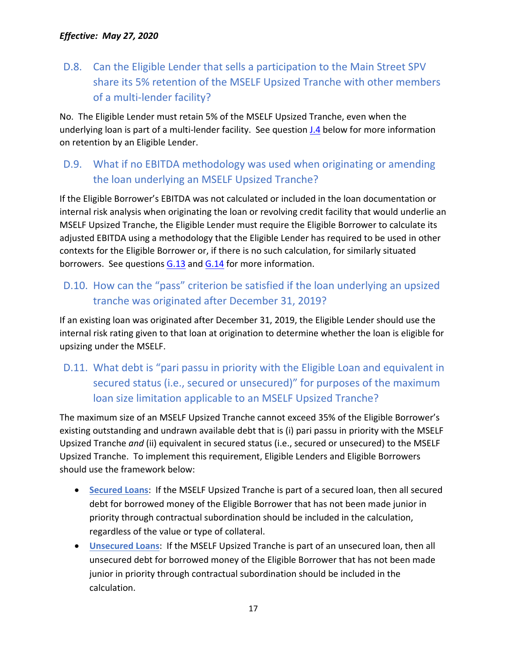## <span id="page-16-0"></span>D.8. Can the Eligible Lender that sells a participation to the Main Street SPV share its 5% retention of the MSELF Upsized Tranche with other members of a multi-lender facility?

No. The Eligible Lender must retain 5% of the MSELF Upsized Tranche, even when the underlying loan is part of a multi-lender facility. See question *J.4* below for more information on retention by an Eligible Lender.

## <span id="page-16-1"></span>D.9. What if no EBITDA methodology was used when originating or amending the loan underlying an MSELF Upsized Tranche?

If the Eligible Borrower's EBITDA was not calculated or included in the loan documentation or internal risk analysis when originating the loan or revolving credit facility that would underlie an MSELF Upsized Tranche, the Eligible Lender must require the Eligible Borrower to calculate its adjusted EBITDA using a methodology that the Eligible Lender has required to be used in other contexts for the Eligible Borrower or, if there is no such calculation, for similarly situated borrowers. See questions  $G.13$  and  $G.14$  for more information.

## <span id="page-16-2"></span>D.10. How can the "pass" criterion be satisfied if the loan underlying an upsized tranche was originated after December 31, 2019?

If an existing loan was originated after December 31, 2019, the Eligible Lender should use the internal risk rating given to that loan at origination to determine whether the loan is eligible for upsizing under the MSELF.

## <span id="page-16-3"></span>D.11. What debt is "pari passu in priority with the Eligible Loan and equivalent in secured status (i.e., secured or unsecured)" for purposes of the maximum loan size limitation applicable to an MSELF Upsized Tranche?

The maximum size of an MSELF Upsized Tranche cannot exceed 35% of the Eligible Borrower's existing outstanding and undrawn available debt that is (i) pari passu in priority with the MSELF Upsized Tranche *and* (ii) equivalent in secured status (i.e., secured or unsecured) to the MSELF Upsized Tranche. To implement this requirement, Eligible Lenders and Eligible Borrowers should use the framework below:

- **Secured Loans**: If the MSELF Upsized Tranche is part of a secured loan, then all secured debt for borrowed money of the Eligible Borrower that has not been made junior in priority through contractual subordination should be included in the calculation, regardless of the value or type of collateral.
- **Unsecured Loans**: If the MSELF Upsized Tranche is part of an unsecured loan, then all unsecured debt for borrowed money of the Eligible Borrower that has not been made junior in priority through contractual subordination should be included in the calculation.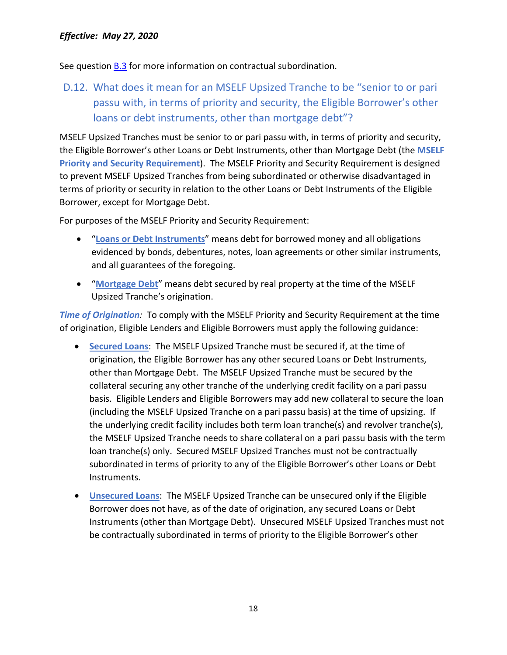See question [B.3](#page-9-3) for more information on contractual subordination.

<span id="page-17-0"></span>D.12. What does it mean for an MSELF Upsized Tranche to be "senior to or pari passu with, in terms of priority and security, the Eligible Borrower's other loans or debt instruments, other than mortgage debt"?

MSELF Upsized Tranches must be senior to or pari passu with, in terms of priority and security, the Eligible Borrower's other Loans or Debt Instruments, other than Mortgage Debt (the **MSELF Priority and Security Requirement**). The MSELF Priority and Security Requirement is designed to prevent MSELF Upsized Tranches from being subordinated or otherwise disadvantaged in terms of priority or security in relation to the other Loans or Debt Instruments of the Eligible Borrower, except for Mortgage Debt.

For purposes of the MSELF Priority and Security Requirement:

- "**Loans or Debt Instruments**" means debt for borrowed money and all obligations evidenced by bonds, debentures, notes, loan agreements or other similar instruments, and all guarantees of the foregoing.
- "**Mortgage Debt**" means debt secured by real property at the time of the MSELF Upsized Tranche's origination.

*Time of Origination:* To comply with the MSELF Priority and Security Requirement at the time of origination, Eligible Lenders and Eligible Borrowers must apply the following guidance:

- **Secured Loans**: The MSELF Upsized Tranche must be secured if, at the time of origination, the Eligible Borrower has any other secured Loans or Debt Instruments, other than Mortgage Debt. The MSELF Upsized Tranche must be secured by the collateral securing any other tranche of the underlying credit facility on a pari passu basis. Eligible Lenders and Eligible Borrowers may add new collateral to secure the loan (including the MSELF Upsized Tranche on a pari passu basis) at the time of upsizing. If the underlying credit facility includes both term loan tranche(s) and revolver tranche(s), the MSELF Upsized Tranche needs to share collateral on a pari passu basis with the term loan tranche(s) only. Secured MSELF Upsized Tranches must not be contractually subordinated in terms of priority to any of the Eligible Borrower's other Loans or Debt Instruments.
- **Unsecured Loans**: The MSELF Upsized Tranche can be unsecured only if the Eligible Borrower does not have, as of the date of origination, any secured Loans or Debt Instruments (other than Mortgage Debt). Unsecured MSELF Upsized Tranches must not be contractually subordinated in terms of priority to the Eligible Borrower's other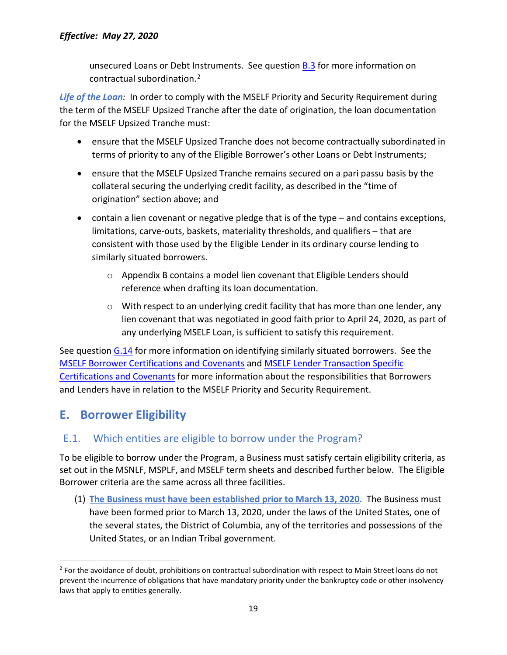unsecured Loans or Debt Instruments. See question [B.3](#page-9-3) for more information on contractual subordination.[2](#page-18-2)

*Life of the Loan:* In order to comply with the MSELF Priority and Security Requirement during the term of the MSELF Upsized Tranche after the date of origination, the loan documentation for the MSELF Upsized Tranche must:

- ensure that the MSELF Upsized Tranche does not become contractually subordinated in terms of priority to any of the Eligible Borrower's other Loans or Debt Instruments;
- ensure that the MSELF Upsized Tranche remains secured on a pari passu basis by the collateral securing the underlying credit facility, as described in the "time of origination" section above; and
- contain a lien covenant or negative pledge that is of the type and contains exceptions, limitations, carve-outs, baskets, materiality thresholds, and qualifiers – that are consistent with those used by the Eligible Lender in its ordinary course lending to similarly situated borrowers.
	- $\circ$  Appendix B contains a model lien covenant that Eligible Lenders should reference when drafting its loan documentation.
	- $\circ$  With respect to an underlying credit facility that has more than one lender, any lien covenant that was negotiated in good faith prior to April 24, 2020, as part of any underlying MSELF Loan, is sufficient to satisfy this requirement.

See question [G.14](#page-28-1) for more information on identifying similarly situated borrowers. See the [MSELF Borrower Certifications and Covenants](https://www.bostonfed.org/-/media/Documents/special-lending-facilities/mslp/legal/mself-borrower-certifications-and-covenants.pdf) and MSELF [Lender Transaction Specific](https://www.bostonfed.org/-/media/Documents/special-lending-facilities/mslp/legal/mself-lender-transaction-specific-certifications-and-covenants.pdf)  [Certifications and Covenants](https://www.bostonfed.org/-/media/Documents/special-lending-facilities/mslp/legal/mself-lender-transaction-specific-certifications-and-covenants.pdf) for more information about the responsibilities that Borrowers and Lenders have in relation to the MSELF Priority and Security Requirement.

## <span id="page-18-0"></span>**E. Borrower Eligibility**

## <span id="page-18-1"></span>E.1. Which entities are eligible to borrow under the Program?

To be eligible to borrow under the Program, a Business must satisfy certain eligibility criteria, as set out in the MSNLF, MSPLF, and MSELF term sheets and described further below. The Eligible Borrower criteria are the same across all three facilities.

(1) **The Business must have been established prior to March 13, 2020.** The Business must have been formed prior to March 13, 2020, under the laws of the United States, one of the several states, the District of Columbia, any of the territories and possessions of the United States, or an Indian Tribal government.

<span id="page-18-2"></span><sup>&</sup>lt;sup>2</sup> For the avoidance of doubt, prohibitions on contractual subordination with respect to Main Street loans do not prevent the incurrence of obligations that have mandatory priority under the bankruptcy code or other insolvency laws that apply to entities generally.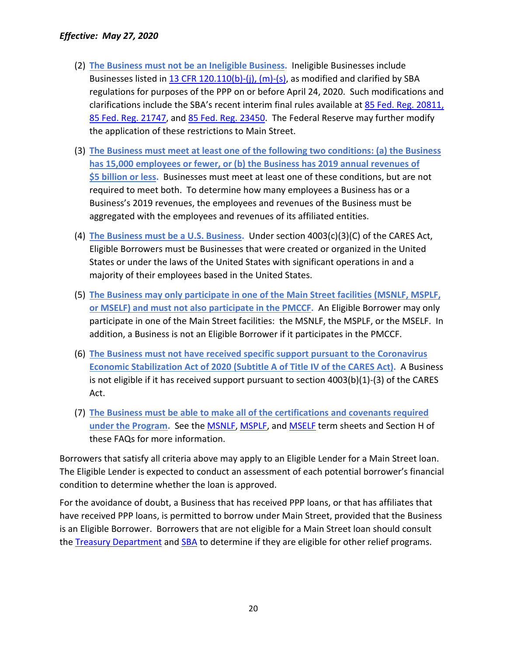- (2) **The Business must not be an Ineligible Business.** Ineligible Businesses include Businesses listed in [13 CFR 120.110\(b\)-\(j\), \(m\)-\(s\),](https://gov.ecfr.io/cgi-bin/text-idx?SID=fa53a93b56da0512f225f4fbcf044d0c&mc=true&node=se13.1.120_1110&rgn=div8) as modified and clarified by SBA regulations for purposes of the PPP on or before April 24, 2020. Such modifications and clarifications include the SBA's recent interim final rules available at [85 Fed. Reg. 20811,](https://www.federalregister.gov/documents/2020/04/15/2020-07672/business-loan-program-temporary-changes-paycheck-protection-program) [85 Fed. Reg. 21747,](https://www.federalregister.gov/documents/2020/04/20/2020-08257/business-loan-program-temporary-changes-paycheck-protection-program-additional-eligibility-criteria) and [85 Fed. Reg. 23450.](https://www.federalregister.gov/documents/2020/04/28/2020-09098/business-loan-program-temporary-changes-paycheck-protection-program-requirements-promissory-notes) The Federal Reserve may further modify the application of these restrictions to Main Street.
- (3) **The Business must meet at least one of the following two conditions: (a) the Business has 15,000 employees or fewer, or (b) the Business has 2019 annual revenues of \$5 billion or less.** Businesses must meet at least one of these conditions, but are not required to meet both. To determine how many employees a Business has or a Business's 2019 revenues, the employees and revenues of the Business must be aggregated with the employees and revenues of its affiliated entities.
- (4) **The Business must be a U.S. Business.** Under section 4003(c)(3)(C) of the CARES Act, Eligible Borrowers must be Businesses that were created or organized in the United States or under the laws of the United States with significant operations in and a majority of their employees based in the United States.
- (5) **The Business may only participate in one of the Main Street facilities (MSNLF, MSPLF, or MSELF) and must not also participate in the PMCCF.** An Eligible Borrower may only participate in one of the Main Street facilities: the MSNLF, the MSPLF, or the MSELF. In addition, a Business is not an Eligible Borrower if it participates in the PMCCF.
- (6) **The Business must not have received specific support pursuant to the Coronavirus Economic Stabilization Act of 2020 (Subtitle A of Title IV of the CARES Act).** A Business is not eligible if it has received support pursuant to section 4003(b)(1)-(3) of the CARES Act.
- (7) **The Business must be able to make all of the certifications and covenants required under the Program.** See the [MSNLF,](https://www.federalreserve.gov/newsevents/pressreleases/files/monetary20200430a1.pdf) [MSPLF,](https://www.federalreserve.gov/newsevents/pressreleases/files/monetary20200430a2.pdf) and [MSELF](https://www.federalreserve.gov/newsevents/pressreleases/files/monetary20200430a3.pdf) term sheets and Section H of these FAQs for more information.

Borrowers that satisfy all criteria above may apply to an Eligible Lender for a Main Street loan. The Eligible Lender is expected to conduct an assessment of each potential borrower's financial condition to determine whether the loan is approved.

For the avoidance of doubt, a Business that has received PPP loans, or that has affiliates that have received PPP loans, is permitted to borrow under Main Street, provided that the Business is an Eligible Borrower. Borrowers that are not eligible for a Main Street loan should consult the [Treasury](https://home.treasury.gov/system/files/136/PPP--Fact-Sheet.pdf) Department and [SBA](https://www.sba.gov/funding-programs/loans/coronavirus-relief-options/paycheck-protection-program-ppp) to determine if they are eligible for other relief programs.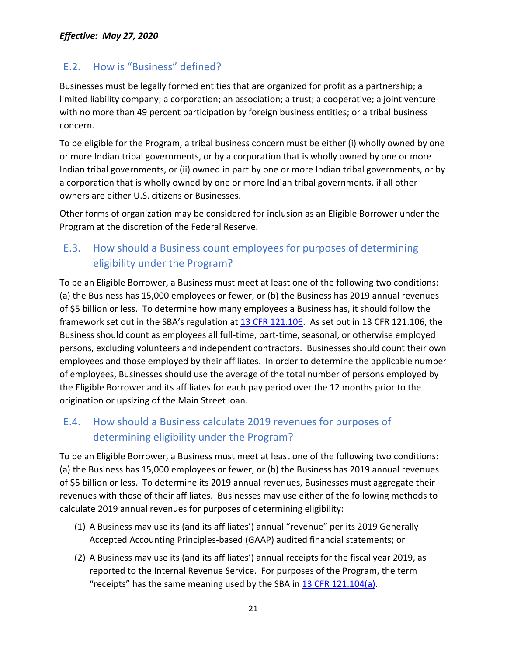### <span id="page-20-0"></span>E.2. How is "Business" defined?

Businesses must be legally formed entities that are organized for profit as a partnership; a limited liability company; a corporation; an association; a trust; a cooperative; a joint venture with no more than 49 percent participation by foreign business entities; or a tribal business concern.

To be eligible for the Program, a tribal business concern must be either (i) wholly owned by one or more Indian tribal governments, or by a corporation that is wholly owned by one or more Indian tribal governments, or (ii) owned in part by one or more Indian tribal governments, or by a corporation that is wholly owned by one or more Indian tribal governments, if all other owners are either U.S. citizens or Businesses.

Other forms of organization may be considered for inclusion as an Eligible Borrower under the Program at the discretion of the Federal Reserve.

## <span id="page-20-1"></span>E.3. How should a Business count employees for purposes of determining eligibility under the Program?

To be an Eligible Borrower, a Business must meet at least one of the following two conditions: (a) the Business has 15,000 employees or fewer, or (b) the Business has 2019 annual revenues of \$5 billion or less. To determine how many employees a Business has, it should follow the framework set out in the SBA's regulation at 13 [CFR 121.106.](https://gov.ecfr.io/cgi-bin/text-idx?SID=150fceacc26bbd98972ba3b555e80084&mc=true&node=se13.1.121_1106&rgn=div8) As set out in 13 CFR 121.106, the Business should count as employees all full-time, part-time, seasonal, or otherwise employed persons, excluding volunteers and independent contractors. Businesses should count their own employees and those employed by their affiliates. In order to determine the applicable number of employees, Businesses should use the average of the total number of persons employed by the Eligible Borrower and its affiliates for each pay period over the 12 months prior to the origination or upsizing of the Main Street loan.

### <span id="page-20-2"></span>E.4. How should a Business calculate 2019 revenues for purposes of determining eligibility under the Program?

To be an Eligible Borrower, a Business must meet at least one of the following two conditions: (a) the Business has 15,000 employees or fewer, or (b) the Business has 2019 annual revenues of \$5 billion or less. To determine its 2019 annual revenues, Businesses must aggregate their revenues with those of their affiliates. Businesses may use either of the following methods to calculate 2019 annual revenues for purposes of determining eligibility:

- (1) A Business may use its (and its affiliates') annual "revenue" per its 2019 Generally Accepted Accounting Principles-based (GAAP) audited financial statements; or
- (2) A Business may use its (and its affiliates') annual receipts for the fiscal year 2019, as reported to the Internal Revenue Service. For purposes of the Program, the term "receipts" has the same meaning used by the SBA in  $13$  CFR  $121.104(a)$ .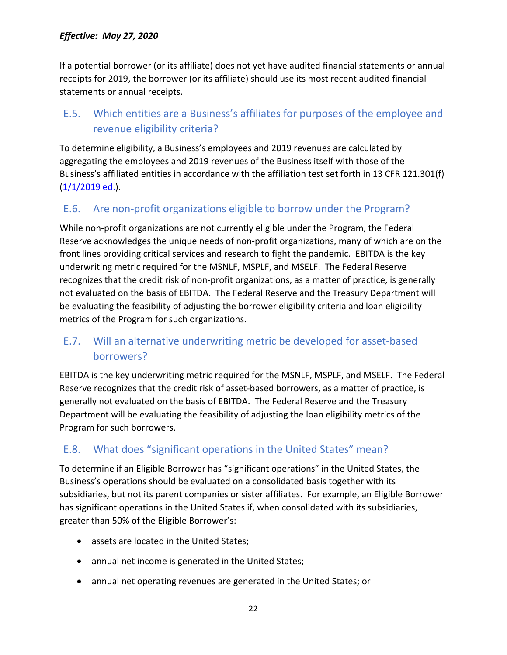If a potential borrower (or its affiliate) does not yet have audited financial statements or annual receipts for 2019, the borrower (or its affiliate) should use its most recent audited financial statements or annual receipts.

## <span id="page-21-0"></span>E.5. Which entities are a Business's affiliates for purposes of the employee and revenue eligibility criteria?

To determine eligibility, a Business's employees and 2019 revenues are calculated by aggregating the employees and 2019 revenues of the Business itself with those of the Business's affiliated entities in accordance with the affiliation test set forth in 13 CFR 121.301(f) [\(1/1/2019 ed.\)](https://www.federalreserve.gov/monetarypolicy/files/CFR-2019-title13-vol1-part121_121.301(f).pdf).

### <span id="page-21-1"></span>E.6. Are non-profit organizations eligible to borrow under the Program?

While non-profit organizations are not currently eligible under the Program, the Federal Reserve acknowledges the unique needs of non-profit organizations, many of which are on the front lines providing critical services and research to fight the pandemic. EBITDA is the key underwriting metric required for the MSNLF, MSPLF, and MSELF. The Federal Reserve recognizes that the credit risk of non-profit organizations, as a matter of practice, is generally not evaluated on the basis of EBITDA. The Federal Reserve and the Treasury Department will be evaluating the feasibility of adjusting the borrower eligibility criteria and loan eligibility metrics of the Program for such organizations.

### <span id="page-21-2"></span>E.7. Will an alternative underwriting metric be developed for asset-based borrowers?

EBITDA is the key underwriting metric required for the MSNLF, MSPLF, and MSELF. The Federal Reserve recognizes that the credit risk of asset-based borrowers, as a matter of practice, is generally not evaluated on the basis of EBITDA. The Federal Reserve and the Treasury Department will be evaluating the feasibility of adjusting the loan eligibility metrics of the Program for such borrowers.

### <span id="page-21-3"></span>E.8. What does "significant operations in the United States" mean?

To determine if an Eligible Borrower has "significant operations" in the United States, the Business's operations should be evaluated on a consolidated basis together with its subsidiaries, but not its parent companies or sister affiliates. For example, an Eligible Borrower has significant operations in the United States if, when consolidated with its subsidiaries, greater than 50% of the Eligible Borrower's:

- assets are located in the United States;
- annual net income is generated in the United States;
- annual net operating revenues are generated in the United States; or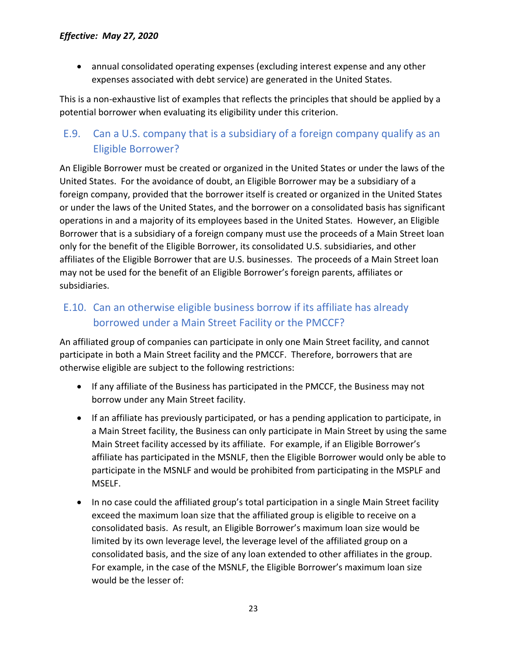• annual consolidated operating expenses (excluding interest expense and any other expenses associated with debt service) are generated in the United States.

This is a non-exhaustive list of examples that reflects the principles that should be applied by a potential borrower when evaluating its eligibility under this criterion.

## <span id="page-22-0"></span>E.9. Can a U.S. company that is a subsidiary of a foreign company qualify as an Eligible Borrower?

An Eligible Borrower must be created or organized in the United States or under the laws of the United States. For the avoidance of doubt, an Eligible Borrower may be a subsidiary of a foreign company, provided that the borrower itself is created or organized in the United States or under the laws of the United States, and the borrower on a consolidated basis has significant operations in and a majority of its employees based in the United States. However, an Eligible Borrower that is a subsidiary of a foreign company must use the proceeds of a Main Street loan only for the benefit of the Eligible Borrower, its consolidated U.S. subsidiaries, and other affiliates of the Eligible Borrower that are U.S. businesses. The proceeds of a Main Street loan may not be used for the benefit of an Eligible Borrower's foreign parents, affiliates or subsidiaries.

## <span id="page-22-1"></span>E.10. Can an otherwise eligible business borrow if its affiliate has already borrowed under a Main Street Facility or the PMCCF?

An affiliated group of companies can participate in only one Main Street facility, and cannot participate in both a Main Street facility and the PMCCF. Therefore, borrowers that are otherwise eligible are subject to the following restrictions:

- If any affiliate of the Business has participated in the PMCCF, the Business may not borrow under any Main Street facility.
- If an affiliate has previously participated, or has a pending application to participate, in a Main Street facility, the Business can only participate in Main Street by using the same Main Street facility accessed by its affiliate. For example, if an Eligible Borrower's affiliate has participated in the MSNLF, then the Eligible Borrower would only be able to participate in the MSNLF and would be prohibited from participating in the MSPLF and MSELF.
- In no case could the affiliated group's total participation in a single Main Street facility exceed the maximum loan size that the affiliated group is eligible to receive on a consolidated basis. As result, an Eligible Borrower's maximum loan size would be limited by its own leverage level, the leverage level of the affiliated group on a consolidated basis, and the size of any loan extended to other affiliates in the group. For example, in the case of the MSNLF, the Eligible Borrower's maximum loan size would be the lesser of: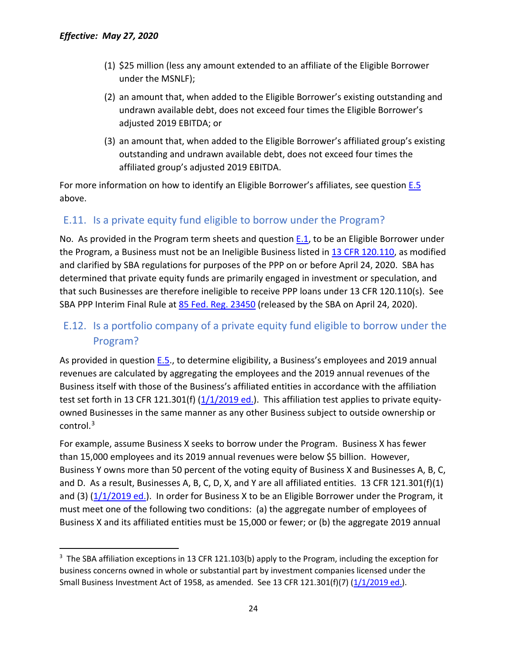- (1) \$25 million (less any amount extended to an affiliate of the Eligible Borrower under the MSNLF);
- (2) an amount that, when added to the Eligible Borrower's existing outstanding and undrawn available debt, does not exceed four times the Eligible Borrower's adjusted 2019 EBITDA; or
- (3) an amount that, when added to the Eligible Borrower's affiliated group's existing outstanding and undrawn available debt, does not exceed four times the affiliated group's adjusted 2019 EBITDA.

For more information on how to identify an Eligible Borrower's affiliates, see question [E.5](#page-21-0) above.

### <span id="page-23-0"></span>E.11. Is a private equity fund eligible to borrow under the Program?

No. As provided in the Program term sheets and question  $E.1$ , to be an Eligible Borrower under the Program, a Business must not be an Ineligible Business listed i[n 13 CFR 120.110,](https://gov.ecfr.io/cgi-bin/text-idx?SID=fa53a93b56da0512f225f4fbcf044d0c&mc=true&node=se13.1.120_1110&rgn=div8) as modified and clarified by SBA regulations for purposes of the PPP on or before April 24, 2020. SBA has determined that private equity funds are primarily engaged in investment or speculation, and that such Businesses are therefore ineligible to receive PPP loans under 13 CFR 120.110(s). See SBA PPP Interim Final Rule at [85 Fed. Reg. 23450](https://www.federalregister.gov/documents/2020/04/28/2020-09098/business-loan-program-temporary-changes-paycheck-protection-program-requirements-promissory-notes) (released by the SBA on April 24, 2020).

### <span id="page-23-1"></span>E.12. Is a portfolio company of a private equity fund eligible to borrow under the Program?

As provided in question [E.5.](#page-21-0), to determine eligibility, a Business's employees and 2019 annual revenues are calculated by aggregating the employees and the 2019 annual revenues of the Business itself with those of the Business's affiliated entities in accordance with the affiliation test set forth in 13 CFR 121.301(f) [\(1/1/2019 ed.\)](https://www.federalreserve.gov/monetarypolicy/files/CFR-2019-title13-vol1-part121_121.301(f).pdf). This affiliation test applies to private equityowned Businesses in the same manner as any other Business subject to outside ownership or control.[3](#page-23-2) 

For example, assume Business X seeks to borrow under the Program. Business X has fewer than 15,000 employees and its 2019 annual revenues were below \$5 billion. However, Business Y owns more than 50 percent of the voting equity of Business X and Businesses A, B, C, and D. As a result, Businesses A, B, C, D, X, and Y are all affiliated entities. 13 CFR 121.301(f)(1) and (3) [\(1/1/2019 ed.\)](https://www.federalreserve.gov/monetarypolicy/files/CFR-2019-title13-vol1-part121_121.301(f).pdf). In order for Business X to be an Eligible Borrower under the Program, it must meet one of the following two conditions: (a) the aggregate number of employees of Business X and its affiliated entities must be 15,000 or fewer; or (b) the aggregate 2019 annual

<span id="page-23-2"></span> $3$  The SBA affiliation exceptions in 13 CFR 121.103(b) apply to the Program, including the exception for business concerns owned in whole or substantial part by investment companies licensed under the Small Business Investment Act of 1958, as amended. See 13 CFR 121.301(f)(7)  $(1/1/2019$  ed.).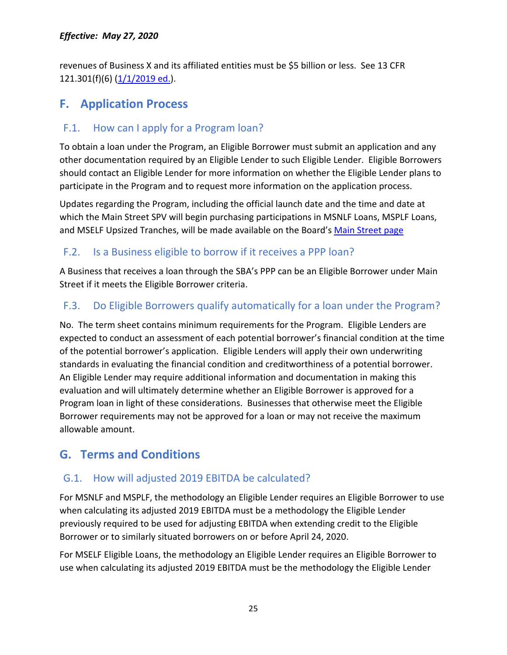revenues of Business X and its affiliated entities must be \$5 billion or less. See 13 CFR 121.301(f)(6) [\(1/1/2019 ed.\)](https://www.federalreserve.gov/monetarypolicy/files/CFR-2019-title13-vol1-part121_121.301(f).pdf).

## <span id="page-24-0"></span>**F. Application Process**

### <span id="page-24-1"></span>F.1. How can I apply for a Program loan?

To obtain a loan under the Program, an Eligible Borrower must submit an application and any other documentation required by an Eligible Lender to such Eligible Lender. Eligible Borrowers should contact an Eligible Lender for more information on whether the Eligible Lender plans to participate in the Program and to request more information on the application process.

Updates regarding the Program, including the official launch date and the time and date at which the Main Street SPV will begin purchasing participations in MSNLF Loans, MSPLF Loans, and MSELF Upsized Tranches, will be made available on the Board's [Main Street page](https://www.federalreserve.gov/monetarypolicy/mainstreetlending.htm)

### <span id="page-24-2"></span>F.2. Is a Business eligible to borrow if it receives a PPP loan?

A Business that receives a loan through the SBA's PPP can be an Eligible Borrower under Main Street if it meets the Eligible Borrower criteria.

### <span id="page-24-3"></span>F.3. Do Eligible Borrowers qualify automatically for a loan under the Program?

No. The term sheet contains minimum requirements for the Program. Eligible Lenders are expected to conduct an assessment of each potential borrower's financial condition at the time of the potential borrower's application. Eligible Lenders will apply their own underwriting standards in evaluating the financial condition and creditworthiness of a potential borrower. An Eligible Lender may require additional information and documentation in making this evaluation and will ultimately determine whether an Eligible Borrower is approved for a Program loan in light of these considerations. Businesses that otherwise meet the Eligible Borrower requirements may not be approved for a loan or may not receive the maximum allowable amount.

## <span id="page-24-4"></span>**G. Terms and Conditions**

### <span id="page-24-5"></span>G.1. How will adjusted 2019 EBITDA be calculated?

For MSNLF and MSPLF, the methodology an Eligible Lender requires an Eligible Borrower to use when calculating its adjusted 2019 EBITDA must be a methodology the Eligible Lender previously required to be used for adjusting EBITDA when extending credit to the Eligible Borrower or to similarly situated borrowers on or before April 24, 2020.

For MSELF Eligible Loans, the methodology an Eligible Lender requires an Eligible Borrower to use when calculating its adjusted 2019 EBITDA must be the methodology the Eligible Lender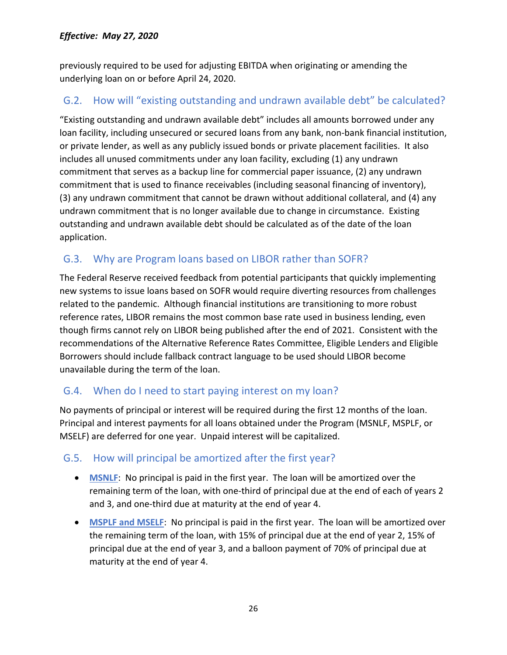previously required to be used for adjusting EBITDA when originating or amending the underlying loan on or before April 24, 2020.

## <span id="page-25-0"></span>G.2. How will "existing outstanding and undrawn available debt" be calculated?

"Existing outstanding and undrawn available debt" includes all amounts borrowed under any loan facility, including unsecured or secured loans from any bank, non-bank financial institution, or private lender, as well as any publicly issued bonds or private placement facilities. It also includes all unused commitments under any loan facility, excluding (1) any undrawn commitment that serves as a backup line for commercial paper issuance, (2) any undrawn commitment that is used to finance receivables (including seasonal financing of inventory), (3) any undrawn commitment that cannot be drawn without additional collateral, and (4) any undrawn commitment that is no longer available due to change in circumstance. Existing outstanding and undrawn available debt should be calculated as of the date of the loan application.

## <span id="page-25-1"></span>G.3. Why are Program loans based on LIBOR rather than SOFR?

The Federal Reserve received feedback from potential participants that quickly implementing new systems to issue loans based on SOFR would require diverting resources from challenges related to the pandemic. Although financial institutions are transitioning to more robust reference rates, LIBOR remains the most common base rate used in business lending, even though firms cannot rely on LIBOR being published after the end of 2021. Consistent with the recommendations of the Alternative Reference Rates Committee, Eligible Lenders and Eligible Borrowers should include fallback contract language to be used should LIBOR become unavailable during the term of the loan.

### <span id="page-25-2"></span>G.4. When do I need to start paying interest on my loan?

No payments of principal or interest will be required during the first 12 months of the loan. Principal and interest payments for all loans obtained under the Program (MSNLF, MSPLF, or MSELF) are deferred for one year. Unpaid interest will be capitalized.

### <span id="page-25-3"></span>G.5. How will principal be amortized after the first year?

- **MSNLF**: No principal is paid in the first year. The loan will be amortized over the remaining term of the loan, with one-third of principal due at the end of each of years 2 and 3, and one-third due at maturity at the end of year 4.
- **MSPLF and MSELF**: No principal is paid in the first year. The loan will be amortized over the remaining term of the loan, with 15% of principal due at the end of year 2, 15% of principal due at the end of year 3, and a balloon payment of 70% of principal due at maturity at the end of year 4.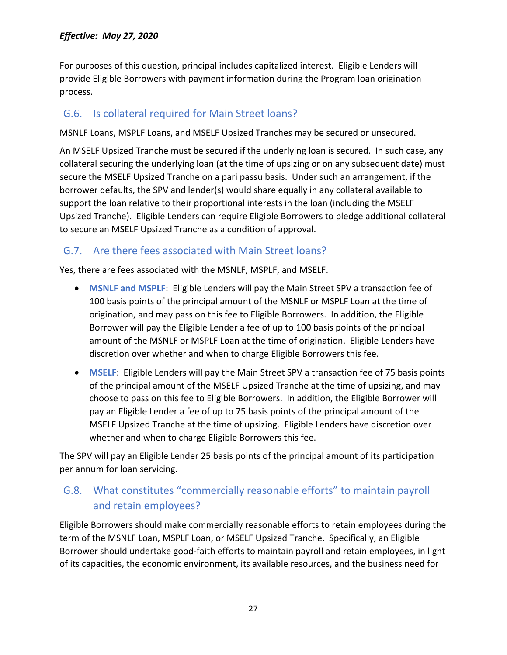For purposes of this question, principal includes capitalized interest. Eligible Lenders will provide Eligible Borrowers with payment information during the Program loan origination process.

#### <span id="page-26-0"></span>G.6. Is collateral required for Main Street loans?

MSNLF Loans, MSPLF Loans, and MSELF Upsized Tranches may be secured or unsecured.

An MSELF Upsized Tranche must be secured if the underlying loan is secured. In such case, any collateral securing the underlying loan (at the time of upsizing or on any subsequent date) must secure the MSELF Upsized Tranche on a pari passu basis. Under such an arrangement, if the borrower defaults, the SPV and lender(s) would share equally in any collateral available to support the loan relative to their proportional interests in the loan (including the MSELF Upsized Tranche). Eligible Lenders can require Eligible Borrowers to pledge additional collateral to secure an MSELF Upsized Tranche as a condition of approval.

#### <span id="page-26-1"></span>G.7. Are there fees associated with Main Street loans?

Yes, there are fees associated with the MSNLF, MSPLF, and MSELF.

- **MSNLF and MSPLF**: Eligible Lenders will pay the Main Street SPV a transaction fee of 100 basis points of the principal amount of the MSNLF or MSPLF Loan at the time of origination, and may pass on this fee to Eligible Borrowers. In addition, the Eligible Borrower will pay the Eligible Lender a fee of up to 100 basis points of the principal amount of the MSNLF or MSPLF Loan at the time of origination. Eligible Lenders have discretion over whether and when to charge Eligible Borrowers this fee.
- **MSELF**: Eligible Lenders will pay the Main Street SPV a transaction fee of 75 basis points of the principal amount of the MSELF Upsized Tranche at the time of upsizing, and may choose to pass on this fee to Eligible Borrowers. In addition, the Eligible Borrower will pay an Eligible Lender a fee of up to 75 basis points of the principal amount of the MSELF Upsized Tranche at the time of upsizing. Eligible Lenders have discretion over whether and when to charge Eligible Borrowers this fee.

The SPV will pay an Eligible Lender 25 basis points of the principal amount of its participation per annum for loan servicing.

## <span id="page-26-2"></span>G.8. What constitutes "commercially reasonable efforts" to maintain payroll and retain employees?

Eligible Borrowers should make commercially reasonable efforts to retain employees during the term of the MSNLF Loan, MSPLF Loan, or MSELF Upsized Tranche. Specifically, an Eligible Borrower should undertake good-faith efforts to maintain payroll and retain employees, in light of its capacities, the economic environment, its available resources, and the business need for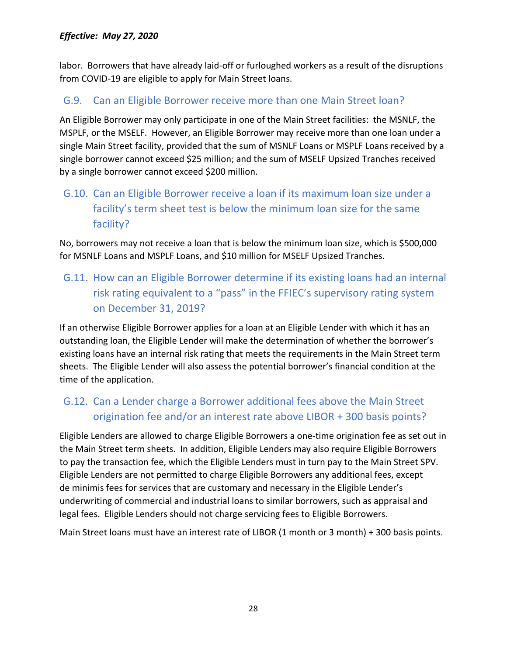labor. Borrowers that have already laid-off or furloughed workers as a result of the disruptions from COVID-19 are eligible to apply for Main Street loans.

### <span id="page-27-0"></span>G.9. Can an Eligible Borrower receive more than one Main Street loan?

An Eligible Borrower may only participate in one of the Main Street facilities: the MSNLF, the MSPLF, or the MSELF. However, an Eligible Borrower may receive more than one loan under a single Main Street facility, provided that the sum of MSNLF Loans or MSPLF Loans received by a single borrower cannot exceed \$25 million; and the sum of MSELF Upsized Tranches received by a single borrower cannot exceed \$200 million.

## <span id="page-27-1"></span>G.10. Can an Eligible Borrower receive a loan if its maximum loan size under a facility's term sheet test is below the minimum loan size for the same facility?

No, borrowers may not receive a loan that is below the minimum loan size, which is \$500,000 for MSNLF Loans and MSPLF Loans, and \$10 million for MSELF Upsized Tranches.

## <span id="page-27-2"></span>G.11. How can an Eligible Borrower determine if its existing loans had an internal risk rating equivalent to a "pass" in the FFIEC's supervisory rating system on December 31, 2019?

If an otherwise Eligible Borrower applies for a loan at an Eligible Lender with which it has an outstanding loan, the Eligible Lender will make the determination of whether the borrower's existing loans have an internal risk rating that meets the requirements in the Main Street term sheets. The Eligible Lender will also assess the potential borrower's financial condition at the time of the application.

## <span id="page-27-3"></span>G.12. Can a Lender charge a Borrower additional fees above the Main Street origination fee and/or an interest rate above LIBOR + 300 basis points?

Eligible Lenders are allowed to charge Eligible Borrowers a one-time origination fee as set out in the Main Street term sheets. In addition, Eligible Lenders may also require Eligible Borrowers to pay the transaction fee, which the Eligible Lenders must in turn pay to the Main Street SPV. Eligible Lenders are not permitted to charge Eligible Borrowers any additional fees, except de minimis fees for services that are customary and necessary in the Eligible Lender's underwriting of commercial and industrial loans to similar borrowers, such as appraisal and legal fees. Eligible Lenders should not charge servicing fees to Eligible Borrowers.

Main Street loans must have an interest rate of LIBOR (1 month or 3 month) + 300 basis points.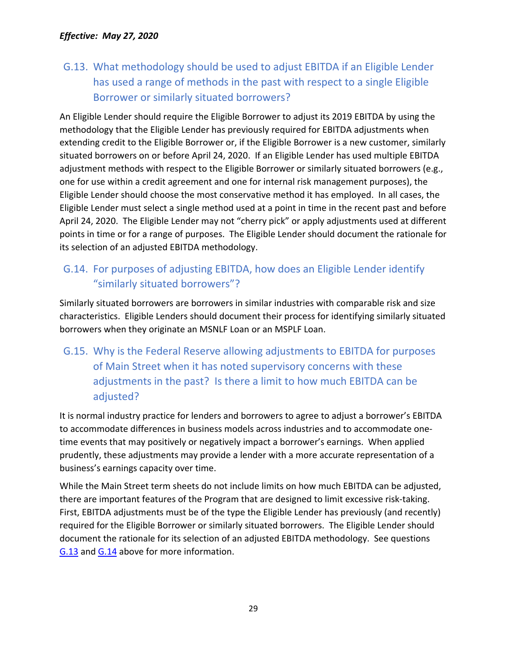<span id="page-28-0"></span>G.13. What methodology should be used to adjust EBITDA if an Eligible Lender has used a range of methods in the past with respect to a single Eligible Borrower or similarly situated borrowers?

An Eligible Lender should require the Eligible Borrower to adjust its 2019 EBITDA by using the methodology that the Eligible Lender has previously required for EBITDA adjustments when extending credit to the Eligible Borrower or, if the Eligible Borrower is a new customer, similarly situated borrowers on or before April 24, 2020. If an Eligible Lender has used multiple EBITDA adjustment methods with respect to the Eligible Borrower or similarly situated borrowers (e.g., one for use within a credit agreement and one for internal risk management purposes), the Eligible Lender should choose the most conservative method it has employed. In all cases, the Eligible Lender must select a single method used at a point in time in the recent past and before April 24, 2020. The Eligible Lender may not "cherry pick" or apply adjustments used at different points in time or for a range of purposes. The Eligible Lender should document the rationale for its selection of an adjusted EBITDA methodology.

## <span id="page-28-1"></span>G.14. For purposes of adjusting EBITDA, how does an Eligible Lender identify "similarly situated borrowers"?

Similarly situated borrowers are borrowers in similar industries with comparable risk and size characteristics. Eligible Lenders should document their process for identifying similarly situated borrowers when they originate an MSNLF Loan or an MSPLF Loan.

## <span id="page-28-2"></span>G.15. Why is the Federal Reserve allowing adjustments to EBITDA for purposes of Main Street when it has noted supervisory concerns with these adjustments in the past? Is there a limit to how much EBITDA can be adjusted?

It is normal industry practice for lenders and borrowers to agree to adjust a borrower's EBITDA to accommodate differences in business models across industries and to accommodate onetime events that may positively or negatively impact a borrower's earnings. When applied prudently, these adjustments may provide a lender with a more accurate representation of a business's earnings capacity over time.

While the Main Street term sheets do not include limits on how much EBITDA can be adjusted, there are important features of the Program that are designed to limit excessive risk-taking. First, EBITDA adjustments must be of the type the Eligible Lender has previously (and recently) required for the Eligible Borrower or similarly situated borrowers. The Eligible Lender should document the rationale for its selection of an adjusted EBITDA methodology. See questions [G.13](#page-28-0) and [G.14](#page-28-1) above for more information.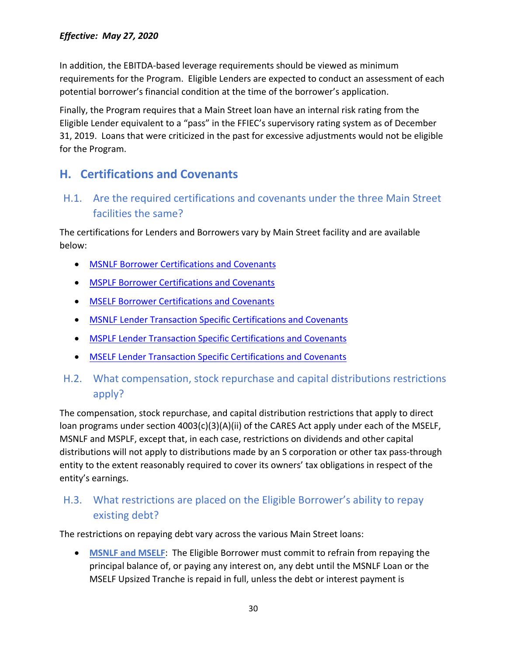In addition, the EBITDA-based leverage requirements should be viewed as minimum requirements for the Program. Eligible Lenders are expected to conduct an assessment of each potential borrower's financial condition at the time of the borrower's application.

Finally, the Program requires that a Main Street loan have an internal risk rating from the Eligible Lender equivalent to a "pass" in the FFIEC's supervisory rating system as of December 31, 2019. Loans that were criticized in the past for excessive adjustments would not be eligible for the Program.

## <span id="page-29-0"></span>**H. Certifications and Covenants**

## <span id="page-29-1"></span>H.1. Are the required certifications and covenants under the three Main Street facilities the same?

The certifications for Lenders and Borrowers vary by Main Street facility and are available below:

- [MSNLF Borrower Certifications and Covenants](https://www.bostonfed.org/-/media/Documents/special-lending-facilities/mslp/legal/msnlf-borrower-certifications-and-covenants.pdf)
- [MSPLF Borrower Certifications and Covenants](https://www.bostonfed.org/-/media/Documents/special-lending-facilities/mslp/legal/msplf-borrower-certifications-and-covenants.pdf)
- [MSELF Borrower Certifications and Covenants](https://www.bostonfed.org/-/media/Documents/special-lending-facilities/mslp/legal/mself-borrower-certifications-and-covenants.pdf)
- [MSNLF Lender Transaction Specific Certifications and Covenants](https://www.bostonfed.org/-/media/Documents/special-lending-facilities/mslp/legal/msnlf-lender-transaction-specific-certifications-and-covenants.pdf)
- [MSPLF Lender Transaction Specific Certifications and Covenants](https://www.bostonfed.org/-/media/Documents/special-lending-facilities/mslp/legal/msplf-lender-transaction-specific-certifications-and-covenants.pdf)
- [MSELF Lender Transaction Specific Certifications and Covenants](https://www.bostonfed.org/-/media/Documents/special-lending-facilities/mslp/legal/mself-lender-transaction-specific-certifications-and-covenants.pdf)
- <span id="page-29-2"></span>H.2. What compensation, stock repurchase and capital distributions restrictions apply?

The compensation, stock repurchase, and capital distribution restrictions that apply to direct loan programs under section 4003(c)(3)(A)(ii) of the CARES Act apply under each of the MSELF, MSNLF and MSPLF, except that, in each case, restrictions on dividends and other capital distributions will not apply to distributions made by an S corporation or other tax pass-through entity to the extent reasonably required to cover its owners' tax obligations in respect of the entity's earnings.

## <span id="page-29-3"></span>H.3. What restrictions are placed on the Eligible Borrower's ability to repay existing debt?

The restrictions on repaying debt vary across the various Main Street loans:

• **MSNLF and MSELF**: The Eligible Borrower must commit to refrain from repaying the principal balance of, or paying any interest on, any debt until the MSNLF Loan or the MSELF Upsized Tranche is repaid in full, unless the debt or interest payment is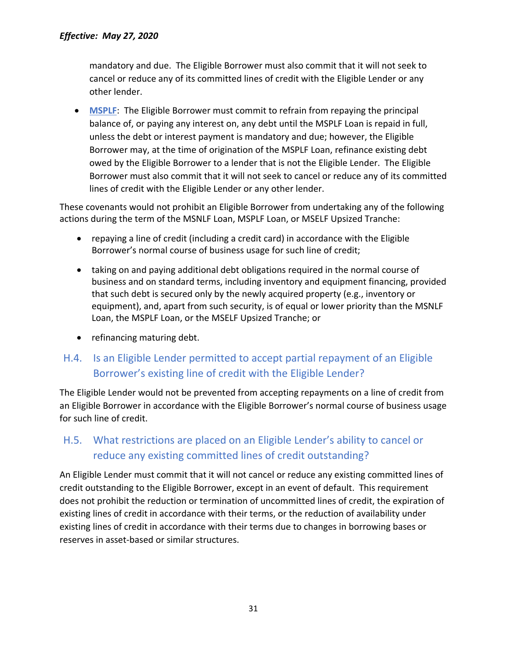mandatory and due. The Eligible Borrower must also commit that it will not seek to cancel or reduce any of its committed lines of credit with the Eligible Lender or any other lender.

• **MSPLF**: The Eligible Borrower must commit to refrain from repaying the principal balance of, or paying any interest on, any debt until the MSPLF Loan is repaid in full, unless the debt or interest payment is mandatory and due; however, the Eligible Borrower may, at the time of origination of the MSPLF Loan, refinance existing debt owed by the Eligible Borrower to a lender that is not the Eligible Lender. The Eligible Borrower must also commit that it will not seek to cancel or reduce any of its committed lines of credit with the Eligible Lender or any other lender.

These covenants would not prohibit an Eligible Borrower from undertaking any of the following actions during the term of the MSNLF Loan, MSPLF Loan, or MSELF Upsized Tranche:

- repaying a line of credit (including a credit card) in accordance with the Eligible Borrower's normal course of business usage for such line of credit;
- taking on and paying additional debt obligations required in the normal course of business and on standard terms, including inventory and equipment financing, provided that such debt is secured only by the newly acquired property (e.g., inventory or equipment), and, apart from such security, is of equal or lower priority than the MSNLF Loan, the MSPLF Loan, or the MSELF Upsized Tranche; or
- refinancing maturing debt.

## <span id="page-30-0"></span>H.4. Is an Eligible Lender permitted to accept partial repayment of an Eligible Borrower's existing line of credit with the Eligible Lender?

The Eligible Lender would not be prevented from accepting repayments on a line of credit from an Eligible Borrower in accordance with the Eligible Borrower's normal course of business usage for such line of credit.

### <span id="page-30-1"></span>H.5. What restrictions are placed on an Eligible Lender's ability to cancel or reduce any existing committed lines of credit outstanding?

An Eligible Lender must commit that it will not cancel or reduce any existing committed lines of credit outstanding to the Eligible Borrower, except in an event of default. This requirement does not prohibit the reduction or termination of uncommitted lines of credit, the expiration of existing lines of credit in accordance with their terms, or the reduction of availability under existing lines of credit in accordance with their terms due to changes in borrowing bases or reserves in asset-based or similar structures.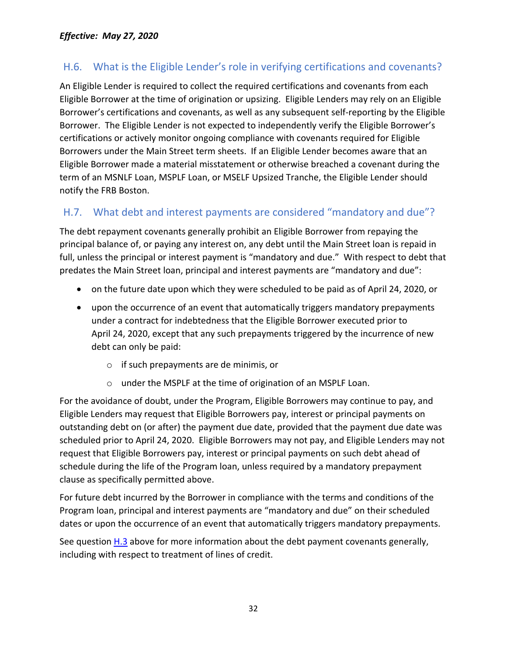## <span id="page-31-0"></span>H.6. What is the Eligible Lender's role in verifying certifications and covenants?

An Eligible Lender is required to collect the required certifications and covenants from each Eligible Borrower at the time of origination or upsizing. Eligible Lenders may rely on an Eligible Borrower's certifications and covenants, as well as any subsequent self-reporting by the Eligible Borrower. The Eligible Lender is not expected to independently verify the Eligible Borrower's certifications or actively monitor ongoing compliance with covenants required for Eligible Borrowers under the Main Street term sheets. If an Eligible Lender becomes aware that an Eligible Borrower made a material misstatement or otherwise breached a covenant during the term of an MSNLF Loan, MSPLF Loan, or MSELF Upsized Tranche, the Eligible Lender should notify the FRB Boston.

### <span id="page-31-1"></span>H.7. What debt and interest payments are considered "mandatory and due"?

The debt repayment covenants generally prohibit an Eligible Borrower from repaying the principal balance of, or paying any interest on, any debt until the Main Street loan is repaid in full, unless the principal or interest payment is "mandatory and due." With respect to debt that predates the Main Street loan, principal and interest payments are "mandatory and due":

- on the future date upon which they were scheduled to be paid as of April 24, 2020, or
- upon the occurrence of an event that automatically triggers mandatory prepayments under a contract for indebtedness that the Eligible Borrower executed prior to April 24, 2020, except that any such prepayments triggered by the incurrence of new debt can only be paid:
	- o if such prepayments are de minimis, or
	- o under the MSPLF at the time of origination of an MSPLF Loan.

For the avoidance of doubt, under the Program, Eligible Borrowers may continue to pay, and Eligible Lenders may request that Eligible Borrowers pay, interest or principal payments on outstanding debt on (or after) the payment due date, provided that the payment due date was scheduled prior to April 24, 2020. Eligible Borrowers may not pay, and Eligible Lenders may not request that Eligible Borrowers pay, interest or principal payments on such debt ahead of schedule during the life of the Program loan, unless required by a mandatory prepayment clause as specifically permitted above.

For future debt incurred by the Borrower in compliance with the terms and conditions of the Program loan, principal and interest payments are "mandatory and due" on their scheduled dates or upon the occurrence of an event that automatically triggers mandatory prepayments.

See question [H.3](#page-29-3) above for more information about the debt payment covenants generally, including with respect to treatment of lines of credit.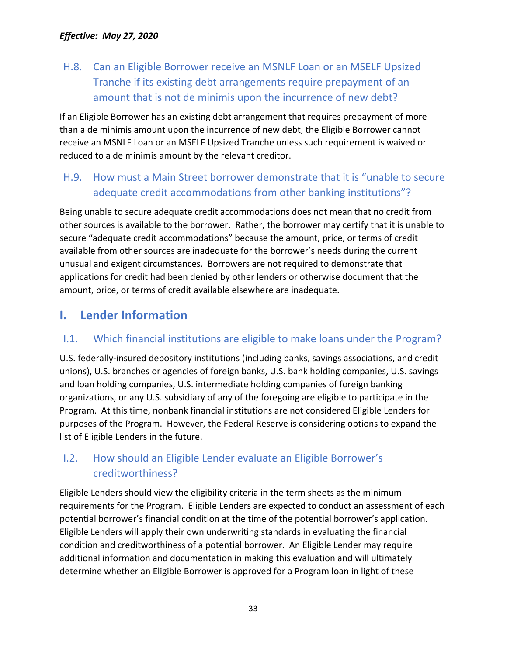## <span id="page-32-0"></span>H.8. Can an Eligible Borrower receive an MSNLF Loan or an MSELF Upsized Tranche if its existing debt arrangements require prepayment of an amount that is not de minimis upon the incurrence of new debt?

If an Eligible Borrower has an existing debt arrangement that requires prepayment of more than a de minimis amount upon the incurrence of new debt, the Eligible Borrower cannot receive an MSNLF Loan or an MSELF Upsized Tranche unless such requirement is waived or reduced to a de minimis amount by the relevant creditor.

## <span id="page-32-1"></span>H.9. How must a Main Street borrower demonstrate that it is "unable to secure adequate credit accommodations from other banking institutions"?

Being unable to secure adequate credit accommodations does not mean that no credit from other sources is available to the borrower. Rather, the borrower may certify that it is unable to secure "adequate credit accommodations" because the amount, price, or terms of credit available from other sources are inadequate for the borrower's needs during the current unusual and exigent circumstances. Borrowers are not required to demonstrate that applications for credit had been denied by other lenders or otherwise document that the amount, price, or terms of credit available elsewhere are inadequate.

## <span id="page-32-2"></span>**I. Lender Information**

## <span id="page-32-3"></span>I.1. Which financial institutions are eligible to make loans under the Program?

U.S. federally-insured depository institutions (including banks, savings associations, and credit unions), U.S. branches or agencies of foreign banks, U.S. bank holding companies, U.S. savings and loan holding companies, U.S. intermediate holding companies of foreign banking organizations, or any U.S. subsidiary of any of the foregoing are eligible to participate in the Program. At this time, nonbank financial institutions are not considered Eligible Lenders for purposes of the Program. However, the Federal Reserve is considering options to expand the list of Eligible Lenders in the future.

## <span id="page-32-4"></span>I.2. How should an Eligible Lender evaluate an Eligible Borrower's creditworthiness?

Eligible Lenders should view the eligibility criteria in the term sheets as the minimum requirements for the Program. Eligible Lenders are expected to conduct an assessment of each potential borrower's financial condition at the time of the potential borrower's application. Eligible Lenders will apply their own underwriting standards in evaluating the financial condition and creditworthiness of a potential borrower. An Eligible Lender may require additional information and documentation in making this evaluation and will ultimately determine whether an Eligible Borrower is approved for a Program loan in light of these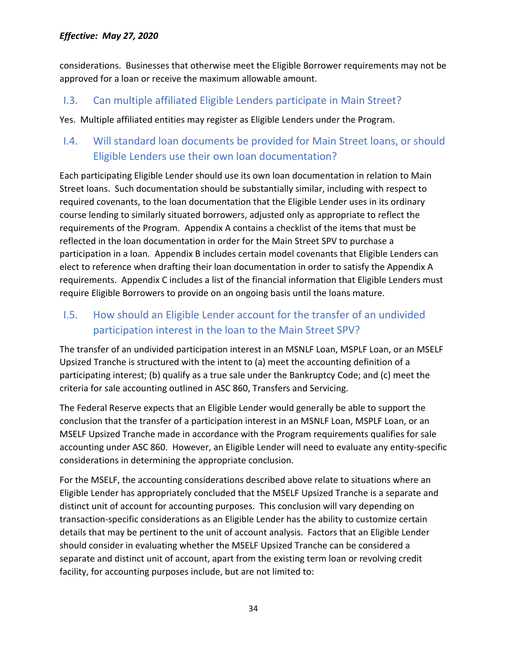considerations. Businesses that otherwise meet the Eligible Borrower requirements may not be approved for a loan or receive the maximum allowable amount.

#### <span id="page-33-0"></span>I.3. Can multiple affiliated Eligible Lenders participate in Main Street?

Yes. Multiple affiliated entities may register as Eligible Lenders under the Program.

## <span id="page-33-1"></span>I.4. Will standard loan documents be provided for Main Street loans, or should Eligible Lenders use their own loan documentation?

Each participating Eligible Lender should use its own loan documentation in relation to Main Street loans. Such documentation should be substantially similar, including with respect to required covenants, to the loan documentation that the Eligible Lender uses in its ordinary course lending to similarly situated borrowers, adjusted only as appropriate to reflect the requirements of the Program. Appendix A contains a checklist of the items that must be reflected in the loan documentation in order for the Main Street SPV to purchase a participation in a loan. Appendix B includes certain model covenants that Eligible Lenders can elect to reference when drafting their loan documentation in order to satisfy the Appendix A requirements. Appendix C includes a list of the financial information that Eligible Lenders must require Eligible Borrowers to provide on an ongoing basis until the loans mature.

<span id="page-33-2"></span>I.5. How should an Eligible Lender account for the transfer of an undivided participation interest in the loan to the Main Street SPV?

The transfer of an undivided participation interest in an MSNLF Loan, MSPLF Loan, or an MSELF Upsized Tranche is structured with the intent to (a) meet the accounting definition of a participating interest; (b) qualify as a true sale under the Bankruptcy Code; and (c) meet the criteria for sale accounting outlined in ASC 860, Transfers and Servicing.

The Federal Reserve expects that an Eligible Lender would generally be able to support the conclusion that the transfer of a participation interest in an MSNLF Loan, MSPLF Loan, or an MSELF Upsized Tranche made in accordance with the Program requirements qualifies for sale accounting under ASC 860. However, an Eligible Lender will need to evaluate any entity-specific considerations in determining the appropriate conclusion.

For the MSELF, the accounting considerations described above relate to situations where an Eligible Lender has appropriately concluded that the MSELF Upsized Tranche is a separate and distinct unit of account for accounting purposes. This conclusion will vary depending on transaction-specific considerations as an Eligible Lender has the ability to customize certain details that may be pertinent to the unit of account analysis. Factors that an Eligible Lender should consider in evaluating whether the MSELF Upsized Tranche can be considered a separate and distinct unit of account, apart from the existing term loan or revolving credit facility, for accounting purposes include, but are not limited to: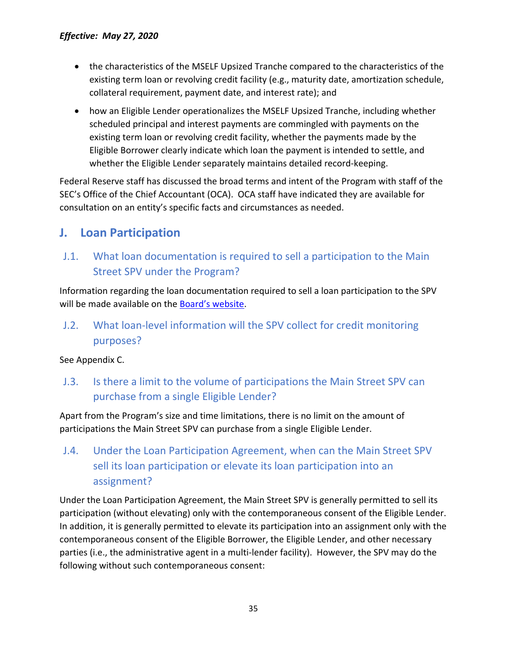- the characteristics of the MSELF Upsized Tranche compared to the characteristics of the existing term loan or revolving credit facility (e.g., maturity date, amortization schedule, collateral requirement, payment date, and interest rate); and
- how an Eligible Lender operationalizes the MSELF Upsized Tranche, including whether scheduled principal and interest payments are commingled with payments on the existing term loan or revolving credit facility, whether the payments made by the Eligible Borrower clearly indicate which loan the payment is intended to settle, and whether the Eligible Lender separately maintains detailed record-keeping.

Federal Reserve staff has discussed the broad terms and intent of the Program with staff of the SEC's Office of the Chief Accountant (OCA). OCA staff have indicated they are available for consultation on an entity's specific facts and circumstances as needed.

## <span id="page-34-0"></span>**J. Loan Participation**

## <span id="page-34-1"></span>J.1. What loan documentation is required to sell a participation to the Main Street SPV under the Program?

Information regarding the loan documentation required to sell a loan participation to the SPV will be made available on the **Board's website.** 

<span id="page-34-2"></span>J.2. What loan-level information will the SPV collect for credit monitoring purposes?

See Appendix C.

<span id="page-34-3"></span>J.3. Is there a limit to the volume of participations the Main Street SPV can purchase from a single Eligible Lender?

Apart from the Program's size and time limitations, there is no limit on the amount of participations the Main Street SPV can purchase from a single Eligible Lender.

## <span id="page-34-4"></span>J.4. Under the Loan Participation Agreement, when can the Main Street SPV sell its loan participation or elevate its loan participation into an assignment?

Under the Loan Participation Agreement, the Main Street SPV is generally permitted to sell its participation (without elevating) only with the contemporaneous consent of the Eligible Lender. In addition, it is generally permitted to elevate its participation into an assignment only with the contemporaneous consent of the Eligible Borrower, the Eligible Lender, and other necessary parties (i.e., the administrative agent in a multi-lender facility). However, the SPV may do the following without such contemporaneous consent: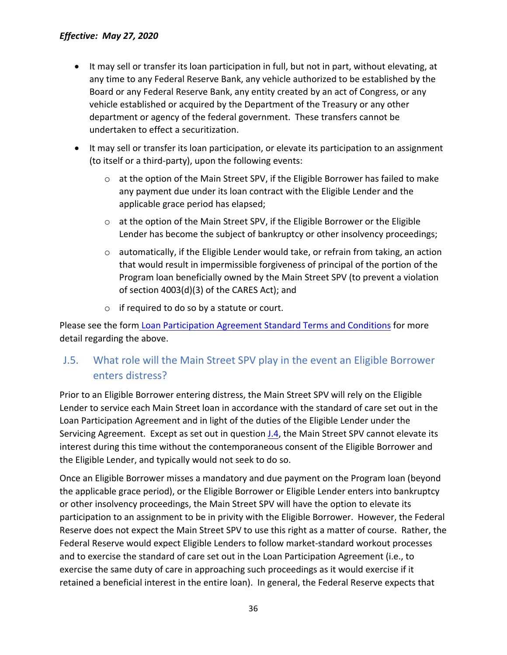- It may sell or transfer its loan participation in full, but not in part, without elevating, at any time to any Federal Reserve Bank, any vehicle authorized to be established by the Board or any Federal Reserve Bank, any entity created by an act of Congress, or any vehicle established or acquired by the Department of the Treasury or any other department or agency of the federal government. These transfers cannot be undertaken to effect a securitization.
- It may sell or transfer its loan participation, or elevate its participation to an assignment (to itself or a third-party), upon the following events:
	- $\circ$  at the option of the Main Street SPV, if the Eligible Borrower has failed to make any payment due under its loan contract with the Eligible Lender and the applicable grace period has elapsed;
	- o at the option of the Main Street SPV, if the Eligible Borrower or the Eligible Lender has become the subject of bankruptcy or other insolvency proceedings;
	- $\circ$  automatically, if the Eligible Lender would take, or refrain from taking, an action that would result in impermissible forgiveness of principal of the portion of the Program loan beneficially owned by the Main Street SPV (to prevent a violation of section 4003(d)(3) of the CARES Act); and
	- o if required to do so by a statute or court.

Please see the form [Loan Participation Agreement Standard Terms and Conditions](https://www.bostonfed.org/-/media/Documents/special-lending-facilities/mslp/legal/loan-participation-agreement-standard-terms-and-conditions.pdf) for more detail regarding the above.

## <span id="page-35-0"></span>J.5. What role will the Main Street SPV play in the event an Eligible Borrower enters distress?

Prior to an Eligible Borrower entering distress, the Main Street SPV will rely on the Eligible Lender to service each Main Street loan in accordance with the standard of care set out in the Loan Participation Agreement and in light of the duties of the Eligible Lender under the Servicing Agreement. Except as set out in question *J.4*, the Main Street SPV cannot elevate its interest during this time without the contemporaneous consent of the Eligible Borrower and the Eligible Lender, and typically would not seek to do so.

Once an Eligible Borrower misses a mandatory and due payment on the Program loan (beyond the applicable grace period), or the Eligible Borrower or Eligible Lender enters into bankruptcy or other insolvency proceedings, the Main Street SPV will have the option to elevate its participation to an assignment to be in privity with the Eligible Borrower. However, the Federal Reserve does not expect the Main Street SPV to use this right as a matter of course. Rather, the Federal Reserve would expect Eligible Lenders to follow market-standard workout processes and to exercise the standard of care set out in the Loan Participation Agreement (i.e., to exercise the same duty of care in approaching such proceedings as it would exercise if it retained a beneficial interest in the entire loan). In general, the Federal Reserve expects that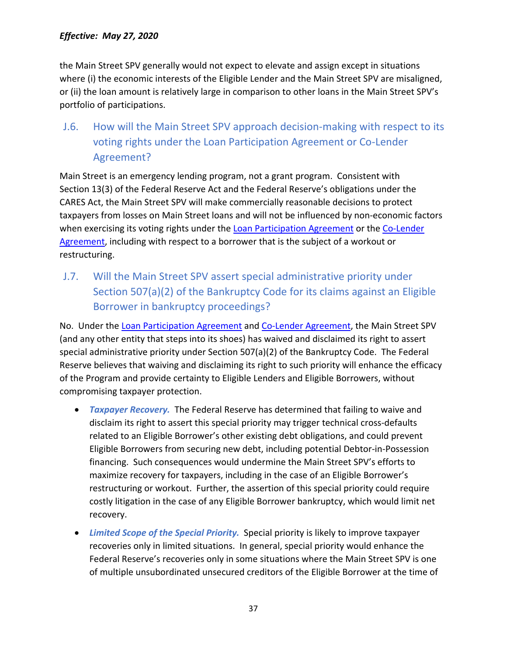the Main Street SPV generally would not expect to elevate and assign except in situations where (i) the economic interests of the Eligible Lender and the Main Street SPV are misaligned, or (ii) the loan amount is relatively large in comparison to other loans in the Main Street SPV's portfolio of participations.

<span id="page-36-0"></span>J.6. How will the Main Street SPV approach decision-making with respect to its voting rights under the Loan Participation Agreement or Co-Lender Agreement?

Main Street is an emergency lending program, not a grant program. Consistent with Section 13(3) of the Federal Reserve Act and the Federal Reserve's obligations under the CARES Act, the Main Street SPV will make commercially reasonable decisions to protect taxpayers from losses on Main Street loans and will not be influenced by non-economic factors when exercising its voting rights under the [Loan Participation Agreement](https://www.bostonfed.org/-/media/Documents/special-lending-facilities/mslp/legal/loan-participation-agreement-standard-terms-and-conditions.pdf) or the [Co-Lender](https://www.bostonfed.org/-/media/Documents/special-lending-facilities/mslp/legal/co-lender-agreement-standard-terms-and-conditions.pdf)  [Agreement,](https://www.bostonfed.org/-/media/Documents/special-lending-facilities/mslp/legal/co-lender-agreement-standard-terms-and-conditions.pdf) including with respect to a borrower that is the subject of a workout or restructuring.

<span id="page-36-1"></span>J.7. Will the Main Street SPV assert special administrative priority under Section 507(a)(2) of the Bankruptcy Code for its claims against an Eligible Borrower in bankruptcy proceedings?

No. Under the [Loan Participation Agreement](https://www.bostonfed.org/-/media/Documents/special-lending-facilities/mslp/legal/loan-participation-agreement-standard-terms-and-conditions.pdf) and [Co-Lender Agreement,](https://www.bostonfed.org/-/media/Documents/special-lending-facilities/mslp/legal/co-lender-agreement-standard-terms-and-conditions.pdf) the Main Street SPV (and any other entity that steps into its shoes) has waived and disclaimed its right to assert special administrative priority under Section 507(a)(2) of the Bankruptcy Code. The Federal Reserve believes that waiving and disclaiming its right to such priority will enhance the efficacy of the Program and provide certainty to Eligible Lenders and Eligible Borrowers, without compromising taxpayer protection.

- *Taxpayer Recovery.* The Federal Reserve has determined that failing to waive and disclaim its right to assert this special priority may trigger technical cross-defaults related to an Eligible Borrower's other existing debt obligations, and could prevent Eligible Borrowers from securing new debt, including potential Debtor-in-Possession financing. Such consequences would undermine the Main Street SPV's efforts to maximize recovery for taxpayers, including in the case of an Eligible Borrower's restructuring or workout. Further, the assertion of this special priority could require costly litigation in the case of any Eligible Borrower bankruptcy, which would limit net recovery.
- *Limited Scope of the Special Priority.* Special priority is likely to improve taxpayer recoveries only in limited situations. In general, special priority would enhance the Federal Reserve's recoveries only in some situations where the Main Street SPV is one of multiple unsubordinated unsecured creditors of the Eligible Borrower at the time of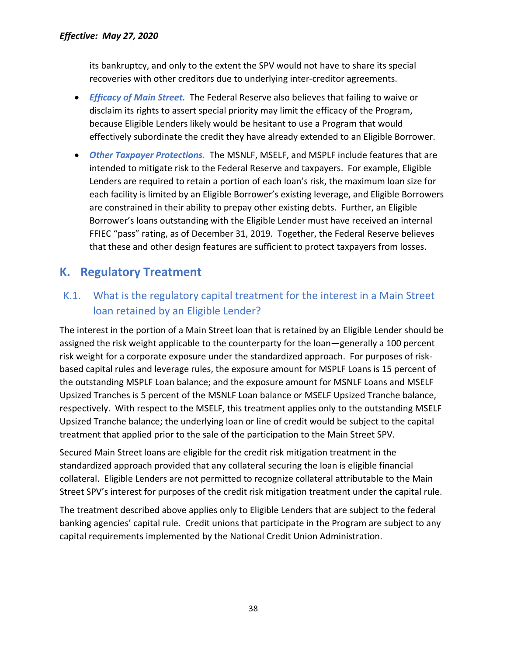its bankruptcy, and only to the extent the SPV would not have to share its special recoveries with other creditors due to underlying inter-creditor agreements.

- *Efficacy of Main Street.* The Federal Reserve also believes that failing to waive or disclaim its rights to assert special priority may limit the efficacy of the Program, because Eligible Lenders likely would be hesitant to use a Program that would effectively subordinate the credit they have already extended to an Eligible Borrower.
- *Other Taxpayer Protections.* The MSNLF, MSELF, and MSPLF include features that are intended to mitigate risk to the Federal Reserve and taxpayers. For example, Eligible Lenders are required to retain a portion of each loan's risk, the maximum loan size for each facility is limited by an Eligible Borrower's existing leverage, and Eligible Borrowers are constrained in their ability to prepay other existing debts. Further, an Eligible Borrower's loans outstanding with the Eligible Lender must have received an internal FFIEC "pass" rating, as of December 31, 2019. Together, the Federal Reserve believes that these and other design features are sufficient to protect taxpayers from losses.

## <span id="page-37-0"></span>**K. Regulatory Treatment**

## <span id="page-37-1"></span>K.1. What is the regulatory capital treatment for the interest in a Main Street loan retained by an Eligible Lender?

The interest in the portion of a Main Street loan that is retained by an Eligible Lender should be assigned the risk weight applicable to the counterparty for the loan—generally a 100 percent risk weight for a corporate exposure under the standardized approach. For purposes of riskbased capital rules and leverage rules, the exposure amount for MSPLF Loans is 15 percent of the outstanding MSPLF Loan balance; and the exposure amount for MSNLF Loans and MSELF Upsized Tranches is 5 percent of the MSNLF Loan balance or MSELF Upsized Tranche balance, respectively. With respect to the MSELF, this treatment applies only to the outstanding MSELF Upsized Tranche balance; the underlying loan or line of credit would be subject to the capital treatment that applied prior to the sale of the participation to the Main Street SPV.

Secured Main Street loans are eligible for the credit risk mitigation treatment in the standardized approach provided that any collateral securing the loan is eligible financial collateral. Eligible Lenders are not permitted to recognize collateral attributable to the Main Street SPV's interest for purposes of the credit risk mitigation treatment under the capital rule.

The treatment described above applies only to Eligible Lenders that are subject to the federal banking agencies' capital rule. Credit unions that participate in the Program are subject to any capital requirements implemented by the National Credit Union Administration.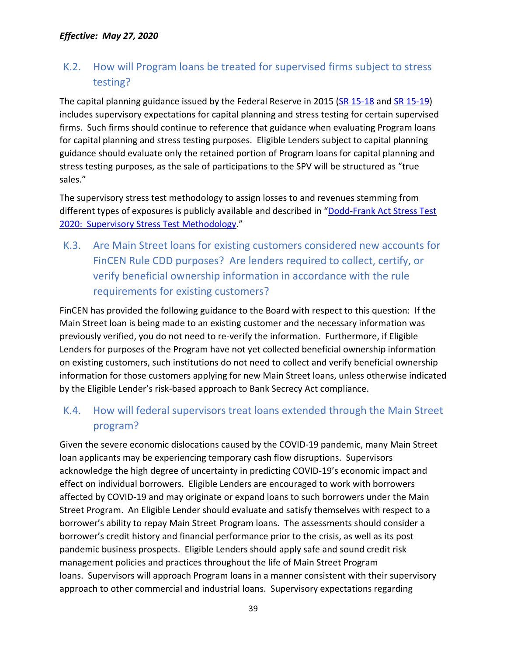## <span id="page-38-0"></span>K.2. How will Program loans be treated for supervised firms subject to stress testing?

The capital planning guidance issued by the Federal Reserve in 2015 [\(SR 15-18](https://www.federalreserve.gov/supervisionreg/srletters/sr1518a1.pdf) and [SR 15-19\)](https://www.federalreserve.gov/supervisionreg/srletters/sr1519_PW.pdf) includes supervisory expectations for capital planning and stress testing for certain supervised firms. Such firms should continue to reference that guidance when evaluating Program loans for capital planning and stress testing purposes. Eligible Lenders subject to capital planning guidance should evaluate only the retained portion of Program loans for capital planning and stress testing purposes, as the sale of participations to the SPV will be structured as "true sales."

The supervisory stress test methodology to assign losses to and revenues stemming from different types of exposures is publicly available and described in ["Dodd-Frank Act Stress Test](https://www.federalreserve.gov/publications/files/2020-march-supervisory-stress-test-methodology.pdf)  [2020: Supervisory Stress Test Methodology.](https://www.federalreserve.gov/publications/files/2020-march-supervisory-stress-test-methodology.pdf)"

<span id="page-38-1"></span>K.3. Are Main Street loans for existing customers considered new accounts for FinCEN Rule CDD purposes? Are lenders required to collect, certify, or verify beneficial ownership information in accordance with the rule requirements for existing customers?

FinCEN has provided the following guidance to the Board with respect to this question: If the Main Street loan is being made to an existing customer and the necessary information was previously verified, you do not need to re-verify the information. Furthermore, if Eligible Lenders for purposes of the Program have not yet collected beneficial ownership information on existing customers, such institutions do not need to collect and verify beneficial ownership information for those customers applying for new Main Street loans, unless otherwise indicated by the Eligible Lender's risk-based approach to Bank Secrecy Act compliance.

## <span id="page-38-2"></span>K.4. How will federal supervisors treat loans extended through the Main Street program?

Given the severe economic dislocations caused by the COVID-19 pandemic, many Main Street loan applicants may be experiencing temporary cash flow disruptions. Supervisors acknowledge the high degree of uncertainty in predicting COVID-19's economic impact and effect on individual borrowers. Eligible Lenders are encouraged to work with borrowers affected by COVID-19 and may originate or expand loans to such borrowers under the Main Street Program. An Eligible Lender should evaluate and satisfy themselves with respect to a borrower's ability to repay Main Street Program loans. The assessments should consider a borrower's credit history and financial performance prior to the crisis, as well as its post pandemic business prospects. Eligible Lenders should apply safe and sound credit risk management policies and practices throughout the life of Main Street Program loans. Supervisors will approach Program loans in a manner consistent with their supervisory approach to other commercial and industrial loans. Supervisory expectations regarding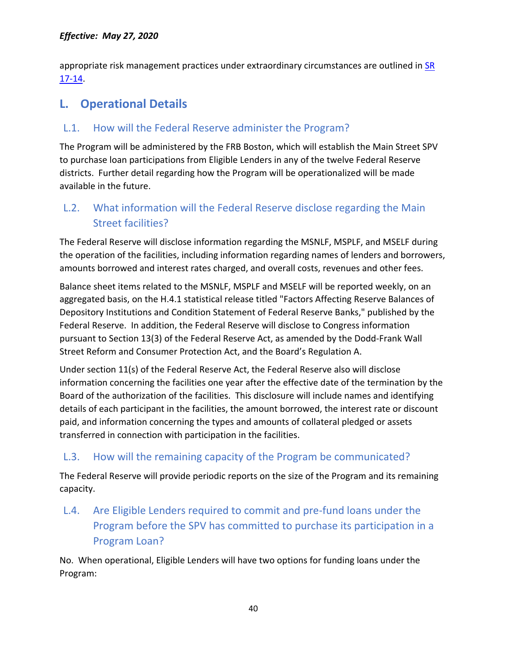appropriate risk management practices under extraordinary circumstances are outlined in [SR](https://www.federalreserve.gov/supervisionreg/srletters/sr1714.htm)  [17-14.](https://www.federalreserve.gov/supervisionreg/srletters/sr1714.htm)

## <span id="page-39-0"></span>**L. Operational Details**

## <span id="page-39-1"></span>L.1. How will the Federal Reserve administer the Program?

The Program will be administered by the FRB Boston, which will establish the Main Street SPV to purchase loan participations from Eligible Lenders in any of the twelve Federal Reserve districts. Further detail regarding how the Program will be operationalized will be made available in the future.

## <span id="page-39-2"></span>L.2. What information will the Federal Reserve disclose regarding the Main Street facilities?

The Federal Reserve will disclose information regarding the MSNLF, MSPLF, and MSELF during the operation of the facilities, including information regarding names of lenders and borrowers, amounts borrowed and interest rates charged, and overall costs, revenues and other fees.

Balance sheet items related to the MSNLF, MSPLF and MSELF will be reported weekly, on an aggregated basis, on the H.4.1 statistical release titled "Factors Affecting Reserve Balances of Depository Institutions and Condition Statement of Federal Reserve Banks," published by the Federal Reserve. In addition, the Federal Reserve will disclose to Congress information pursuant to Section 13(3) of the Federal Reserve Act, as amended by the Dodd-Frank Wall Street Reform and Consumer Protection Act, and the Board's Regulation A.

<span id="page-39-5"></span>Under section 11(s) of the Federal Reserve Act, the Federal Reserve also will disclose information concerning the facilities one year after the effective date of the termination by the Board of the authorization of the facilities. This disclosure will include names and identifying details of each participant in the facilities, the amount borrowed, the interest rate or discount paid, and information concerning the types and amounts of collateral pledged or assets transferred in connection with participation in the facilities.

### <span id="page-39-3"></span>L.3. How will the remaining capacity of the Program be communicated?

The Federal Reserve will provide periodic reports on the size of the Program and its remaining capacity.

<span id="page-39-4"></span>L.4. Are Eligible Lenders required to commit and pre-fund loans under the Program before the SPV has committed to purchase its participation in a Program Loan?

No. When operational, Eligible Lenders will have two options for funding loans under the Program: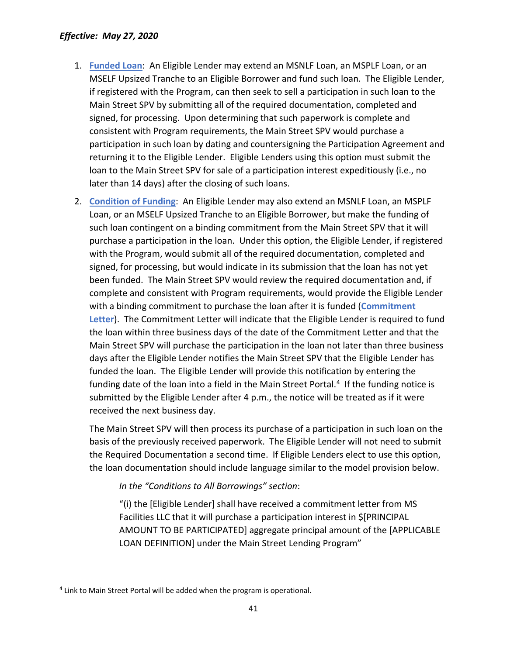- 1. **Funded Loan**: An Eligible Lender may extend an MSNLF Loan, an MSPLF Loan, or an MSELF Upsized Tranche to an Eligible Borrower and fund such loan. The Eligible Lender, if registered with the Program, can then seek to sell a participation in such loan to the Main Street SPV by submitting all of the required documentation, completed and signed, for processing. Upon determining that such paperwork is complete and consistent with Program requirements, the Main Street SPV would purchase a participation in such loan by dating and countersigning the Participation Agreement and returning it to the Eligible Lender. Eligible Lenders using this option must submit the loan to the Main Street SPV for sale of a participation interest expeditiously (i.e., no later than 14 days) after the closing of such loans.
- 2. **Condition of Funding**: An Eligible Lender may also extend an MSNLF Loan, an MSPLF Loan, or an MSELF Upsized Tranche to an Eligible Borrower, but make the funding of such loan contingent on a binding commitment from the Main Street SPV that it will purchase a participation in the loan. Under this option, the Eligible Lender, if registered with the Program, would submit all of the required documentation, completed and signed, for processing, but would indicate in its submission that the loan has not yet been funded. The Main Street SPV would review the required documentation and, if complete and consistent with Program requirements, would provide the Eligible Lender with a binding commitment to purchase the loan after it is funded (**Commitment Letter**). The Commitment Letter will indicate that the Eligible Lender is required to fund the loan within three business days of the date of the Commitment Letter and that the Main Street SPV will purchase the participation in the loan not later than three business days after the Eligible Lender notifies the Main Street SPV that the Eligible Lender has funded the loan. The Eligible Lender will provide this notification by entering the funding date of the loan into a field in the Main Street Portal.<sup>[4](#page-40-0)</sup> If the funding notice is submitted by the Eligible Lender after 4 p.m., the notice will be treated as if it were received the next business day.

The Main Street SPV will then process its purchase of a participation in such loan on the basis of the previously received paperwork. The Eligible Lender will not need to submit the Required Documentation a second time. If Eligible Lenders elect to use this option, the loan documentation should include language similar to the model provision below.

*In the "Conditions to All Borrowings" section*:

"(i) the [Eligible Lender] shall have received a commitment letter from MS Facilities LLC that it will purchase a participation interest in \$[PRINCIPAL AMOUNT TO BE PARTICIPATED] aggregate principal amount of the [APPLICABLE LOAN DEFINITION] under the Main Street Lending Program"

<span id="page-40-0"></span> <sup>4</sup> Link to Main Street Portal will be added when the program is operational.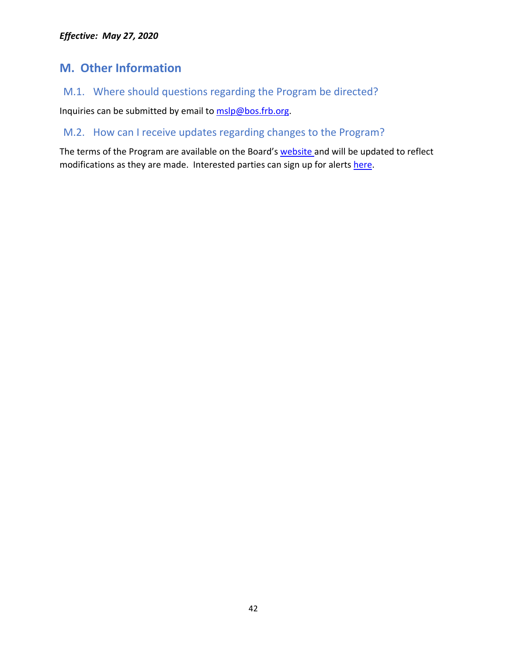## <span id="page-41-0"></span>**M. Other Information**

<span id="page-41-1"></span>M.1. Where should questions regarding the Program be directed?

Inquiries can be submitted by email to [mslp@bos.frb.org.](mailto:mslp@bos.frb.org?subject=MSLP%20Inquiry&body=Thank%20you%20for%20your%20interest%20in%20the%20Federal%20Reserve)

#### <span id="page-41-2"></span>M.2. How can I receive updates regarding changes to the Program?

The terms of the Program are available on the Board's [website a](https://www.federalreserve.gov/monetarypolicy/mainstreetlending.htm)nd will be updated to reflect modifications as they are made. Interested parties can sign up for alerts [here.](https://www.bostonfed.org/supervision-and-regulation/supervision/special-facilities/main-street-lending-program.aspx)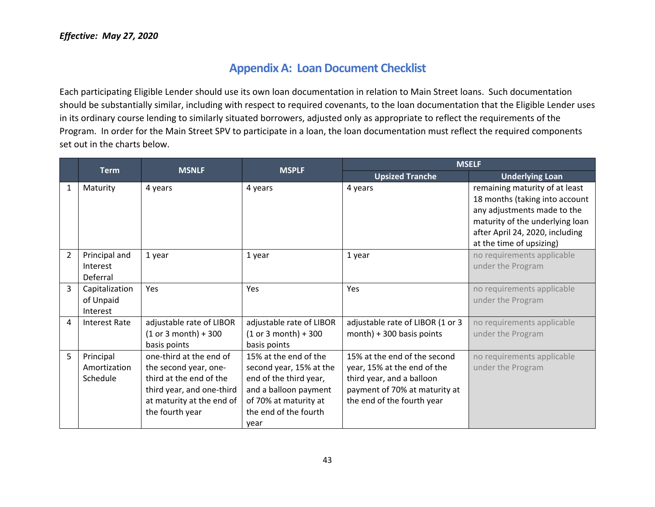### **Appendix A: Loan Document Checklist**

Each participating Eligible Lender should use its own loan documentation in relation to Main Street loans. Such documentation should be substantially similar, including with respect to required covenants, to the loan documentation that the Eligible Lender uses in its ordinary course lending to similarly situated borrowers, adjusted only as appropriate to reflect the requirements of the Program. In order for the Main Street SPV to participate in a loan, the loan documentation must reflect the required components set out in the charts below.

<span id="page-42-0"></span>

|                | <b>Term</b>                             | <b>MSNLF</b>                                                                                                                                             | <b>MSPLF</b>                                                                                                                                                  |                                                                                                                                                         | <b>MSELF</b>                                                                                                                                                                                      |  |
|----------------|-----------------------------------------|----------------------------------------------------------------------------------------------------------------------------------------------------------|---------------------------------------------------------------------------------------------------------------------------------------------------------------|---------------------------------------------------------------------------------------------------------------------------------------------------------|---------------------------------------------------------------------------------------------------------------------------------------------------------------------------------------------------|--|
|                |                                         |                                                                                                                                                          |                                                                                                                                                               | <b>Upsized Tranche</b>                                                                                                                                  | <b>Underlying Loan</b>                                                                                                                                                                            |  |
| $\mathbf 1$    | Maturity                                | 4 years                                                                                                                                                  | 4 years                                                                                                                                                       | 4 years                                                                                                                                                 | remaining maturity of at least<br>18 months (taking into account<br>any adjustments made to the<br>maturity of the underlying loan<br>after April 24, 2020, including<br>at the time of upsizing) |  |
| $\overline{2}$ | Principal and<br>Interest<br>Deferral   | 1 year                                                                                                                                                   | 1 year                                                                                                                                                        | 1 year                                                                                                                                                  | no requirements applicable<br>under the Program                                                                                                                                                   |  |
| 3              | Capitalization<br>of Unpaid<br>Interest | <b>Yes</b>                                                                                                                                               | Yes                                                                                                                                                           | <b>Yes</b>                                                                                                                                              | no requirements applicable<br>under the Program                                                                                                                                                   |  |
| 4              | <b>Interest Rate</b>                    | adjustable rate of LIBOR<br>$(1 or 3 month) + 300$<br>basis points                                                                                       | adjustable rate of LIBOR<br>$(1 or 3 month) + 300$<br>basis points                                                                                            | adjustable rate of LIBOR (1 or 3<br>$month$ ) + 300 basis points                                                                                        | no requirements applicable<br>under the Program                                                                                                                                                   |  |
| 5              | Principal<br>Amortization<br>Schedule   | one-third at the end of<br>the second year, one-<br>third at the end of the<br>third year, and one-third<br>at maturity at the end of<br>the fourth year | 15% at the end of the<br>second year, 15% at the<br>end of the third year,<br>and a balloon payment<br>of 70% at maturity at<br>the end of the fourth<br>year | 15% at the end of the second<br>year, 15% at the end of the<br>third year, and a balloon<br>payment of 70% at maturity at<br>the end of the fourth year | no requirements applicable<br>under the Program                                                                                                                                                   |  |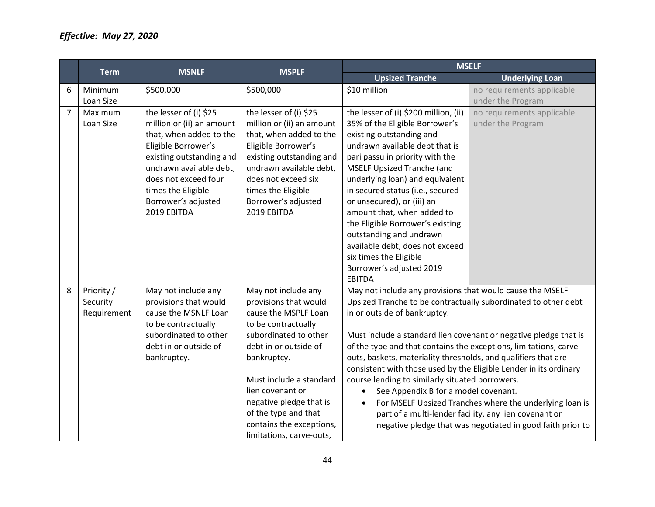|                | <b>Term</b> | <b>MSNLF</b>              | <b>MSPLF</b>              |                                                                   | <b>MSELF</b>                                               |
|----------------|-------------|---------------------------|---------------------------|-------------------------------------------------------------------|------------------------------------------------------------|
|                |             |                           |                           | <b>Upsized Tranche</b>                                            | <b>Underlying Loan</b>                                     |
| 6              | Minimum     | \$500,000                 | \$500,000                 | \$10 million                                                      | no requirements applicable                                 |
|                | Loan Size   |                           |                           |                                                                   | under the Program                                          |
| $\overline{7}$ | Maximum     | the lesser of (i) \$25    | the lesser of (i) \$25    | the lesser of (i) \$200 million, (ii)                             | no requirements applicable                                 |
|                | Loan Size   | million or (ii) an amount | million or (ii) an amount | 35% of the Eligible Borrower's                                    | under the Program                                          |
|                |             | that, when added to the   | that, when added to the   | existing outstanding and                                          |                                                            |
|                |             | Eligible Borrower's       | Eligible Borrower's       | undrawn available debt that is                                    |                                                            |
|                |             | existing outstanding and  | existing outstanding and  | pari passu in priority with the                                   |                                                            |
|                |             | undrawn available debt,   | undrawn available debt,   | <b>MSELF Upsized Tranche (and</b>                                 |                                                            |
|                |             | does not exceed four      | does not exceed six       | underlying loan) and equivalent                                   |                                                            |
|                |             | times the Eligible        | times the Eligible        | in secured status (i.e., secured                                  |                                                            |
|                |             | Borrower's adjusted       | Borrower's adjusted       | or unsecured), or (iii) an                                        |                                                            |
|                |             | 2019 EBITDA               | 2019 EBITDA               | amount that, when added to                                        |                                                            |
|                |             |                           |                           | the Eligible Borrower's existing                                  |                                                            |
|                |             |                           |                           | outstanding and undrawn                                           |                                                            |
|                |             |                           |                           | available debt, does not exceed                                   |                                                            |
|                |             |                           |                           | six times the Eligible                                            |                                                            |
|                |             |                           |                           | Borrower's adjusted 2019                                          |                                                            |
|                |             |                           |                           | <b>EBITDA</b>                                                     |                                                            |
| 8              | Priority /  | May not include any       | May not include any       | May not include any provisions that would cause the MSELF         |                                                            |
|                | Security    | provisions that would     | provisions that would     | Upsized Tranche to be contractually subordinated to other debt    |                                                            |
|                | Requirement | cause the MSNLF Loan      | cause the MSPLF Loan      | in or outside of bankruptcy.                                      |                                                            |
|                |             | to be contractually       | to be contractually       |                                                                   |                                                            |
|                |             | subordinated to other     | subordinated to other     | Must include a standard lien covenant or negative pledge that is  |                                                            |
|                |             | debt in or outside of     | debt in or outside of     | of the type and that contains the exceptions, limitations, carve- |                                                            |
|                |             | bankruptcy.               | bankruptcy.               | outs, baskets, materiality thresholds, and qualifiers that are    |                                                            |
|                |             |                           |                           | consistent with those used by the Eligible Lender in its ordinary |                                                            |
|                |             |                           | Must include a standard   | course lending to similarly situated borrowers.                   |                                                            |
|                |             |                           | lien covenant or          | See Appendix B for a model covenant.<br>$\bullet$                 |                                                            |
|                |             |                           | negative pledge that is   | $\bullet$                                                         | For MSELF Upsized Tranches where the underlying loan is    |
|                |             |                           | of the type and that      |                                                                   | part of a multi-lender facility, any lien covenant or      |
|                |             |                           | contains the exceptions,  |                                                                   | negative pledge that was negotiated in good faith prior to |
|                |             |                           | limitations, carve-outs,  |                                                                   |                                                            |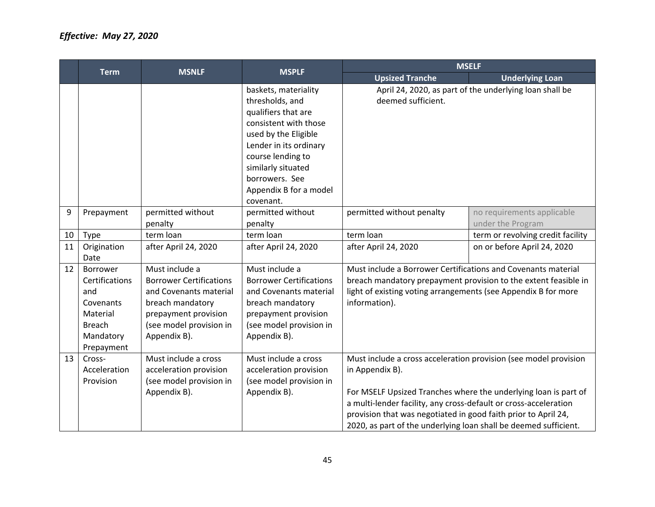|    |                                                                                                        | <b>MSNLF</b>                                                                                                                                                      | <b>MSPLF</b>                                                                                                                                                                                                                                  |                                                                                                                                                                                                                                                                                                                                                                  | <b>MSELF</b>                                                    |
|----|--------------------------------------------------------------------------------------------------------|-------------------------------------------------------------------------------------------------------------------------------------------------------------------|-----------------------------------------------------------------------------------------------------------------------------------------------------------------------------------------------------------------------------------------------|------------------------------------------------------------------------------------------------------------------------------------------------------------------------------------------------------------------------------------------------------------------------------------------------------------------------------------------------------------------|-----------------------------------------------------------------|
|    | <b>Term</b>                                                                                            |                                                                                                                                                                   |                                                                                                                                                                                                                                               | <b>Upsized Tranche</b>                                                                                                                                                                                                                                                                                                                                           | <b>Underlying Loan</b>                                          |
|    |                                                                                                        |                                                                                                                                                                   | baskets, materiality<br>thresholds, and<br>qualifiers that are<br>consistent with those<br>used by the Eligible<br>Lender in its ordinary<br>course lending to<br>similarly situated<br>borrowers. See<br>Appendix B for a model<br>covenant. | deemed sufficient.                                                                                                                                                                                                                                                                                                                                               | April 24, 2020, as part of the underlying loan shall be         |
| 9  | Prepayment                                                                                             | permitted without<br>penalty                                                                                                                                      | permitted without<br>penalty                                                                                                                                                                                                                  | permitted without penalty                                                                                                                                                                                                                                                                                                                                        | no requirements applicable<br>under the Program                 |
| 10 | <b>Type</b>                                                                                            | term loan                                                                                                                                                         | term loan                                                                                                                                                                                                                                     | term loan                                                                                                                                                                                                                                                                                                                                                        | term or revolving credit facility                               |
| 11 | Origination<br>Date                                                                                    | after April 24, 2020                                                                                                                                              | after April 24, 2020                                                                                                                                                                                                                          | after April 24, 2020                                                                                                                                                                                                                                                                                                                                             | on or before April 24, 2020                                     |
| 12 | Borrower<br>Certifications<br>and<br>Covenants<br>Material<br><b>Breach</b><br>Mandatory<br>Prepayment | Must include a<br><b>Borrower Certifications</b><br>and Covenants material<br>breach mandatory<br>prepayment provision<br>(see model provision in<br>Appendix B). | Must include a<br><b>Borrower Certifications</b><br>and Covenants material<br>breach mandatory<br>prepayment provision<br>(see model provision in<br>Appendix B).                                                                             | Must include a Borrower Certifications and Covenants material<br>light of existing voting arrangements (see Appendix B for more<br>information).                                                                                                                                                                                                                 | breach mandatory prepayment provision to the extent feasible in |
| 13 | Cross-<br>Acceleration<br>Provision                                                                    | Must include a cross<br>acceleration provision<br>(see model provision in<br>Appendix B).                                                                         | Must include a cross<br>acceleration provision<br>(see model provision in<br>Appendix B).                                                                                                                                                     | Must include a cross acceleration provision (see model provision<br>in Appendix B).<br>For MSELF Upsized Tranches where the underlying loan is part of<br>a multi-lender facility, any cross-default or cross-acceleration<br>provision that was negotiated in good faith prior to April 24,<br>2020, as part of the underlying loan shall be deemed sufficient. |                                                                 |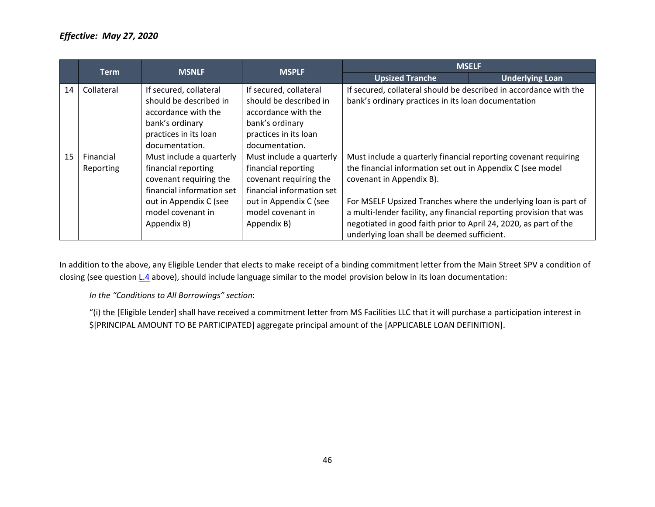|    | <b>MSNLF</b><br><b>Term</b> |                                                                                                                                                                      | <b>MSPLF</b>                                                                                                                                                         | <b>MSELF</b>                                                                                                                                                                                                                                                                                                                                                                                                           |                        |
|----|-----------------------------|----------------------------------------------------------------------------------------------------------------------------------------------------------------------|----------------------------------------------------------------------------------------------------------------------------------------------------------------------|------------------------------------------------------------------------------------------------------------------------------------------------------------------------------------------------------------------------------------------------------------------------------------------------------------------------------------------------------------------------------------------------------------------------|------------------------|
|    |                             |                                                                                                                                                                      |                                                                                                                                                                      | <b>Upsized Tranche</b>                                                                                                                                                                                                                                                                                                                                                                                                 | <b>Underlying Loan</b> |
| 14 | Collateral                  | If secured, collateral<br>should be described in<br>accordance with the<br>bank's ordinary<br>practices in its loan<br>documentation.                                | If secured, collateral<br>should be described in<br>accordance with the<br>bank's ordinary<br>practices in its loan<br>documentation.                                | If secured, collateral should be described in accordance with the<br>bank's ordinary practices in its loan documentation                                                                                                                                                                                                                                                                                               |                        |
| 15 | Financial<br>Reporting      | Must include a quarterly<br>financial reporting<br>covenant requiring the<br>financial information set<br>out in Appendix C (see<br>model covenant in<br>Appendix B) | Must include a quarterly<br>financial reporting<br>covenant requiring the<br>financial information set<br>out in Appendix C (see<br>model covenant in<br>Appendix B) | Must include a quarterly financial reporting covenant requiring<br>the financial information set out in Appendix C (see model<br>covenant in Appendix B).<br>For MSELF Upsized Tranches where the underlying loan is part of<br>a multi-lender facility, any financial reporting provision that was<br>negotiated in good faith prior to April 24, 2020, as part of the<br>underlying loan shall be deemed sufficient. |                        |

In addition to the above, any Eligible Lender that elects to make receipt of a binding commitment letter from the Main Street SPV a condition of closing (see question [L.4](#page-39-5) above), should include language similar to the model provision below in its loan documentation:

*In the "Conditions to All Borrowings" section*:

"(i) the [Eligible Lender] shall have received a commitment letter from MS Facilities LLC that it will purchase a participation interest in \$[PRINCIPAL AMOUNT TO BE PARTICIPATED] aggregate principal amount of the [APPLICABLE LOAN DEFINITION].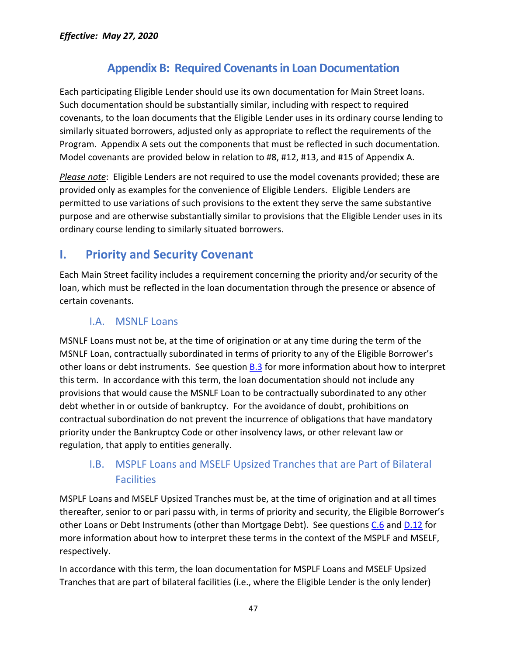## **Appendix B: Required Covenants in Loan Documentation**

<span id="page-46-0"></span>Each participating Eligible Lender should use its own documentation for Main Street loans. Such documentation should be substantially similar, including with respect to required covenants, to the loan documents that the Eligible Lender uses in its ordinary course lending to similarly situated borrowers, adjusted only as appropriate to reflect the requirements of the Program. Appendix A sets out the components that must be reflected in such documentation. Model covenants are provided below in relation to #8, #12, #13, and #15 of Appendix A.

*Please note*: Eligible Lenders are not required to use the model covenants provided; these are provided only as examples for the convenience of Eligible Lenders. Eligible Lenders are permitted to use variations of such provisions to the extent they serve the same substantive purpose and are otherwise substantially similar to provisions that the Eligible Lender uses in its ordinary course lending to similarly situated borrowers.

## <span id="page-46-1"></span>**I. Priority and Security Covenant**

Each Main Street facility includes a requirement concerning the priority and/or security of the loan, which must be reflected in the loan documentation through the presence or absence of certain covenants.

#### I.A. MSNLF Loans

MSNLF Loans must not be, at the time of origination or at any time during the term of the MSNLF Loan, contractually subordinated in terms of priority to any of the Eligible Borrower's other loans or debt instruments. See question [B.3](#page-9-3) for more information about how to interpret this term. In accordance with this term, the loan documentation should not include any provisions that would cause the MSNLF Loan to be contractually subordinated to any other debt whether in or outside of bankruptcy. For the avoidance of doubt, prohibitions on contractual subordination do not prevent the incurrence of obligations that have mandatory priority under the Bankruptcy Code or other insolvency laws, or other relevant law or regulation, that apply to entities generally.

### I.B. MSPLF Loans and MSELF Upsized Tranches that are Part of Bilateral **Facilities**

MSPLF Loans and MSELF Upsized Tranches must be, at the time of origination and at all times thereafter, senior to or pari passu with, in terms of priority and security, the Eligible Borrower's other Loans or Debt Instruments (other than Mortgage Debt). See questions [C.6](#page-11-2) and [D.12](#page-17-0) for more information about how to interpret these terms in the context of the MSPLF and MSELF, respectively.

In accordance with this term, the loan documentation for MSPLF Loans and MSELF Upsized Tranches that are part of bilateral facilities (i.e., where the Eligible Lender is the only lender)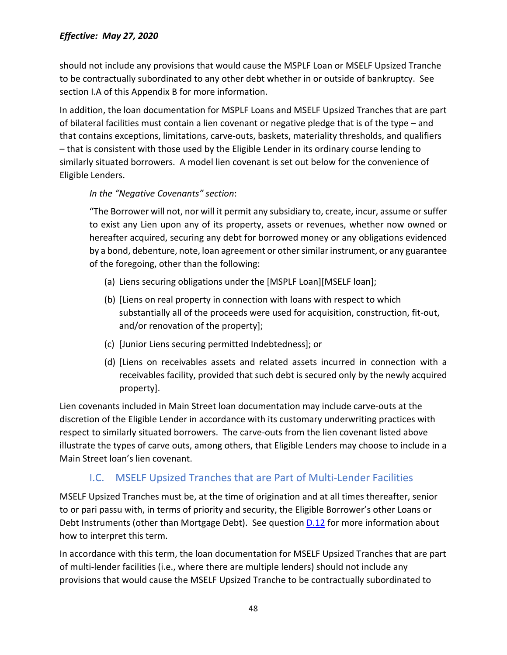should not include any provisions that would cause the MSPLF Loan or MSELF Upsized Tranche to be contractually subordinated to any other debt whether in or outside of bankruptcy. See section I.A of this Appendix B for more information.

In addition, the loan documentation for MSPLF Loans and MSELF Upsized Tranches that are part of bilateral facilities must contain a lien covenant or negative pledge that is of the type – and that contains exceptions, limitations, carve-outs, baskets, materiality thresholds, and qualifiers – that is consistent with those used by the Eligible Lender in its ordinary course lending to similarly situated borrowers. A model lien covenant is set out below for the convenience of Eligible Lenders.

#### *In the "Negative Covenants" section*:

"The Borrower will not, nor will it permit any subsidiary to, create, incur, assume or suffer to exist any Lien upon any of its property, assets or revenues, whether now owned or hereafter acquired, securing any debt for borrowed money or any obligations evidenced by a bond, debenture, note, loan agreement or other similar instrument, or any guarantee of the foregoing, other than the following:

- (a) Liens securing obligations under the [MSPLF Loan][MSELF loan];
- (b) [Liens on real property in connection with loans with respect to which substantially all of the proceeds were used for acquisition, construction, fit-out, and/or renovation of the property];
- (c) [Junior Liens securing permitted Indebtedness]; or
- (d) [Liens on receivables assets and related assets incurred in connection with a receivables facility, provided that such debt is secured only by the newly acquired property].

Lien covenants included in Main Street loan documentation may include carve-outs at the discretion of the Eligible Lender in accordance with its customary underwriting practices with respect to similarly situated borrowers. The carve-outs from the lien covenant listed above illustrate the types of carve outs, among others, that Eligible Lenders may choose to include in a Main Street loan's lien covenant.

#### I.C. MSELF Upsized Tranches that are Part of Multi-Lender Facilities

MSELF Upsized Tranches must be, at the time of origination and at all times thereafter, senior to or pari passu with, in terms of priority and security, the Eligible Borrower's other Loans or Debt Instruments (other than Mortgage Debt). See question **D.12** for more information about how to interpret this term.

In accordance with this term, the loan documentation for MSELF Upsized Tranches that are part of multi-lender facilities (i.e., where there are multiple lenders) should not include any provisions that would cause the MSELF Upsized Tranche to be contractually subordinated to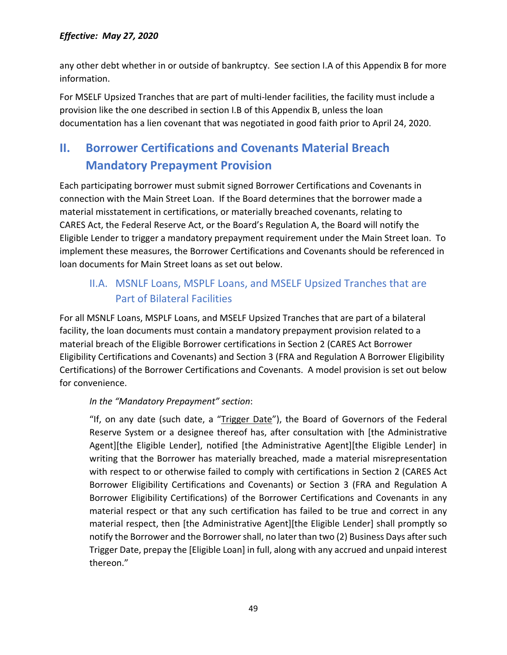any other debt whether in or outside of bankruptcy. See section I.A of this Appendix B for more information.

For MSELF Upsized Tranches that are part of multi-lender facilities, the facility must include a provision like the one described in section I.B of this Appendix B, unless the loan documentation has a lien covenant that was negotiated in good faith prior to April 24, 2020.

## <span id="page-48-0"></span>**II. Borrower Certifications and Covenants Material Breach Mandatory Prepayment Provision**

Each participating borrower must submit signed Borrower Certifications and Covenants in connection with the Main Street Loan. If the Board determines that the borrower made a material misstatement in certifications, or materially breached covenants, relating to CARES Act, the Federal Reserve Act, or the Board's Regulation A, the Board will notify the Eligible Lender to trigger a mandatory prepayment requirement under the Main Street loan. To implement these measures, the Borrower Certifications and Covenants should be referenced in loan documents for Main Street loans as set out below.

## II.A. MSNLF Loans, MSPLF Loans, and MSELF Upsized Tranches that are Part of Bilateral Facilities

For all MSNLF Loans, MSPLF Loans, and MSELF Upsized Tranches that are part of a bilateral facility, the loan documents must contain a mandatory prepayment provision related to a material breach of the Eligible Borrower certifications in Section 2 (CARES Act Borrower Eligibility Certifications and Covenants) and Section 3 (FRA and Regulation A Borrower Eligibility Certifications) of the Borrower Certifications and Covenants. A model provision is set out below for convenience.

#### *In the "Mandatory Prepayment" section*:

"If, on any date (such date, a "Trigger Date"), the Board of Governors of the Federal Reserve System or a designee thereof has, after consultation with [the Administrative Agent][the Eligible Lender], notified [the Administrative Agent][the Eligible Lender] in writing that the Borrower has materially breached, made a material misrepresentation with respect to or otherwise failed to comply with certifications in Section 2 (CARES Act Borrower Eligibility Certifications and Covenants) or Section 3 (FRA and Regulation A Borrower Eligibility Certifications) of the Borrower Certifications and Covenants in any material respect or that any such certification has failed to be true and correct in any material respect, then [the Administrative Agent][the Eligible Lender] shall promptly so notify the Borrower and the Borrower shall, no later than two (2) Business Days after such Trigger Date, prepay the [Eligible Loan] in full, along with any accrued and unpaid interest thereon."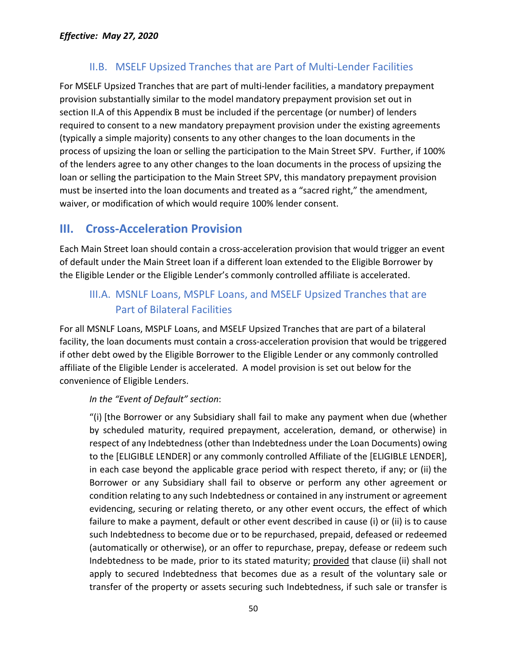### II.B. MSELF Upsized Tranches that are Part of Multi-Lender Facilities

For MSELF Upsized Tranches that are part of multi-lender facilities, a mandatory prepayment provision substantially similar to the model mandatory prepayment provision set out in section II.A of this Appendix B must be included if the percentage (or number) of lenders required to consent to a new mandatory prepayment provision under the existing agreements (typically a simple majority) consents to any other changes to the loan documents in the process of upsizing the loan or selling the participation to the Main Street SPV. Further, if 100% of the lenders agree to any other changes to the loan documents in the process of upsizing the loan or selling the participation to the Main Street SPV, this mandatory prepayment provision must be inserted into the loan documents and treated as a "sacred right," the amendment, waiver, or modification of which would require 100% lender consent.

## <span id="page-49-0"></span>**III. Cross-Acceleration Provision**

Each Main Street loan should contain a cross-acceleration provision that would trigger an event of default under the Main Street loan if a different loan extended to the Eligible Borrower by the Eligible Lender or the Eligible Lender's commonly controlled affiliate is accelerated.

## III.A. MSNLF Loans, MSPLF Loans, and MSELF Upsized Tranches that are Part of Bilateral Facilities

For all MSNLF Loans, MSPLF Loans, and MSELF Upsized Tranches that are part of a bilateral facility, the loan documents must contain a cross-acceleration provision that would be triggered if other debt owed by the Eligible Borrower to the Eligible Lender or any commonly controlled affiliate of the Eligible Lender is accelerated. A model provision is set out below for the convenience of Eligible Lenders.

#### *In the "Event of Default" section*:

"(i) [the Borrower or any Subsidiary shall fail to make any payment when due (whether by scheduled maturity, required prepayment, acceleration, demand, or otherwise) in respect of any Indebtedness (other than Indebtedness under the Loan Documents) owing to the [ELIGIBLE LENDER] or any commonly controlled Affiliate of the [ELIGIBLE LENDER], in each case beyond the applicable grace period with respect thereto, if any; or (ii) the Borrower or any Subsidiary shall fail to observe or perform any other agreement or condition relating to any such Indebtedness or contained in any instrument or agreement evidencing, securing or relating thereto, or any other event occurs, the effect of which failure to make a payment, default or other event described in cause (i) or (ii) is to cause such Indebtedness to become due or to be repurchased, prepaid, defeased or redeemed (automatically or otherwise), or an offer to repurchase, prepay, defease or redeem such Indebtedness to be made, prior to its stated maturity; provided that clause (ii) shall not apply to secured Indebtedness that becomes due as a result of the voluntary sale or transfer of the property or assets securing such Indebtedness, if such sale or transfer is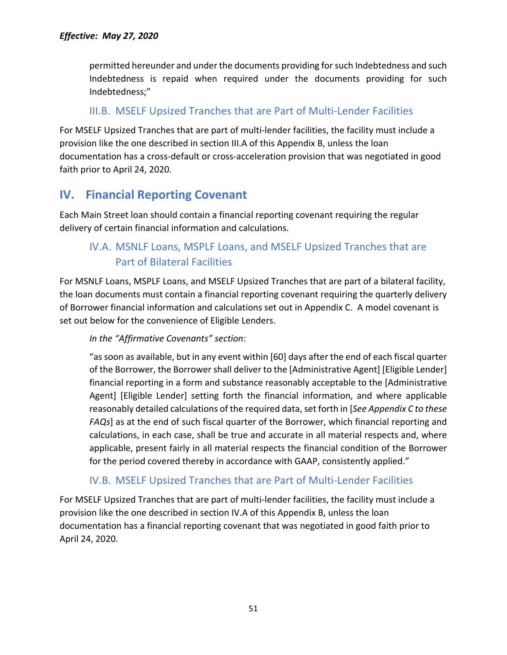permitted hereunder and under the documents providing for such Indebtedness and such Indebtedness is repaid when required under the documents providing for such Indebtedness;"

### III.B. MSELF Upsized Tranches that are Part of Multi-Lender Facilities

For MSELF Upsized Tranches that are part of multi-lender facilities, the facility must include a provision like the one described in section III.A of this Appendix B, unless the loan documentation has a cross-default or cross-acceleration provision that was negotiated in good faith prior to April 24, 2020.

## <span id="page-50-0"></span>**IV. Financial Reporting Covenant**

Each Main Street loan should contain a financial reporting covenant requiring the regular delivery of certain financial information and calculations.

## IV.A. MSNLF Loans, MSPLF Loans, and MSELF Upsized Tranches that are Part of Bilateral Facilities

For MSNLF Loans, MSPLF Loans, and MSELF Upsized Tranches that are part of a bilateral facility, the loan documents must contain a financial reporting covenant requiring the quarterly delivery of Borrower financial information and calculations set out in Appendix C. A model covenant is set out below for the convenience of Eligible Lenders.

#### *In the "Affirmative Covenants" section*:

"as soon as available, but in any event within [60] days after the end of each fiscal quarter of the Borrower, the Borrower shall deliver to the [Administrative Agent] [Eligible Lender] financial reporting in a form and substance reasonably acceptable to the [Administrative Agent] [Eligible Lender] setting forth the financial information, and where applicable reasonably detailed calculations of the required data, set forth in [*See Appendix C to these FAQs*] as at the end of such fiscal quarter of the Borrower, which financial reporting and calculations, in each case, shall be true and accurate in all material respects and, where applicable, present fairly in all material respects the financial condition of the Borrower for the period covered thereby in accordance with GAAP, consistently applied."

#### IV.B. MSELF Upsized Tranches that are Part of Multi-Lender Facilities

For MSELF Upsized Tranches that are part of multi-lender facilities, the facility must include a provision like the one described in section IV.A of this Appendix B, unless the loan documentation has a financial reporting covenant that was negotiated in good faith prior to April 24, 2020.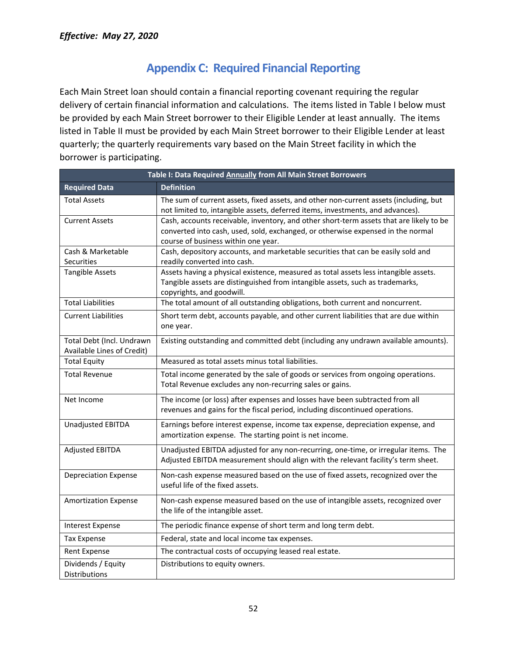## **Appendix C: Required Financial Reporting**

<span id="page-51-0"></span>Each Main Street loan should contain a financial reporting covenant requiring the regular delivery of certain financial information and calculations. The items listed in Table I below must be provided by each Main Street borrower to their Eligible Lender at least annually. The items listed in Table II must be provided by each Main Street borrower to their Eligible Lender at least quarterly; the quarterly requirements vary based on the Main Street facility in which the borrower is participating.

| Table I: Data Required Annually from All Main Street Borrowers |                                                                                                                                                                                                                   |  |  |  |
|----------------------------------------------------------------|-------------------------------------------------------------------------------------------------------------------------------------------------------------------------------------------------------------------|--|--|--|
| <b>Required Data</b>                                           | <b>Definition</b>                                                                                                                                                                                                 |  |  |  |
| <b>Total Assets</b>                                            | The sum of current assets, fixed assets, and other non-current assets (including, but<br>not limited to, intangible assets, deferred items, investments, and advances).                                           |  |  |  |
| <b>Current Assets</b>                                          | Cash, accounts receivable, inventory, and other short-term assets that are likely to be<br>converted into cash, used, sold, exchanged, or otherwise expensed in the normal<br>course of business within one year. |  |  |  |
| Cash & Marketable<br><b>Securities</b>                         | Cash, depository accounts, and marketable securities that can be easily sold and<br>readily converted into cash.                                                                                                  |  |  |  |
| <b>Tangible Assets</b>                                         | Assets having a physical existence, measured as total assets less intangible assets.<br>Tangible assets are distinguished from intangible assets, such as trademarks,<br>copyrights, and goodwill.                |  |  |  |
| <b>Total Liabilities</b>                                       | The total amount of all outstanding obligations, both current and noncurrent.                                                                                                                                     |  |  |  |
| <b>Current Liabilities</b>                                     | Short term debt, accounts payable, and other current liabilities that are due within<br>one year.                                                                                                                 |  |  |  |
| Total Debt (Incl. Undrawn<br>Available Lines of Credit)        | Existing outstanding and committed debt (including any undrawn available amounts).                                                                                                                                |  |  |  |
| <b>Total Equity</b>                                            | Measured as total assets minus total liabilities.                                                                                                                                                                 |  |  |  |
| <b>Total Revenue</b>                                           | Total income generated by the sale of goods or services from ongoing operations.<br>Total Revenue excludes any non-recurring sales or gains.                                                                      |  |  |  |
| Net Income                                                     | The income (or loss) after expenses and losses have been subtracted from all<br>revenues and gains for the fiscal period, including discontinued operations.                                                      |  |  |  |
| <b>Unadjusted EBITDA</b>                                       | Earnings before interest expense, income tax expense, depreciation expense, and<br>amortization expense. The starting point is net income.                                                                        |  |  |  |
| <b>Adjusted EBITDA</b>                                         | Unadjusted EBITDA adjusted for any non-recurring, one-time, or irregular items. The<br>Adjusted EBITDA measurement should align with the relevant facility's term sheet.                                          |  |  |  |
| <b>Depreciation Expense</b>                                    | Non-cash expense measured based on the use of fixed assets, recognized over the<br>useful life of the fixed assets.                                                                                               |  |  |  |
| <b>Amortization Expense</b>                                    | Non-cash expense measured based on the use of intangible assets, recognized over<br>the life of the intangible asset.                                                                                             |  |  |  |
| <b>Interest Expense</b>                                        | The periodic finance expense of short term and long term debt.                                                                                                                                                    |  |  |  |
| <b>Tax Expense</b>                                             | Federal, state and local income tax expenses.                                                                                                                                                                     |  |  |  |
| <b>Rent Expense</b>                                            | The contractual costs of occupying leased real estate.                                                                                                                                                            |  |  |  |
| Dividends / Equity<br>Distributions                            | Distributions to equity owners.                                                                                                                                                                                   |  |  |  |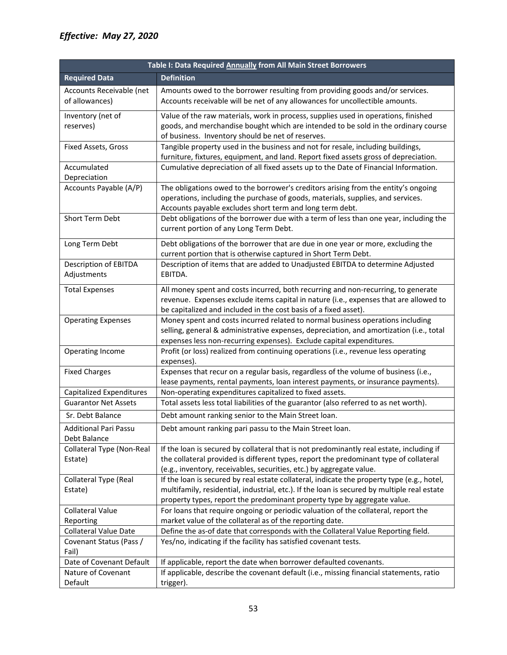| Table I: Data Required Annually from All Main Street Borrowers |                                                                                                                                                                                                                                                                       |  |  |
|----------------------------------------------------------------|-----------------------------------------------------------------------------------------------------------------------------------------------------------------------------------------------------------------------------------------------------------------------|--|--|
| <b>Required Data</b>                                           | <b>Definition</b>                                                                                                                                                                                                                                                     |  |  |
| Accounts Receivable (net<br>of allowances)                     | Amounts owed to the borrower resulting from providing goods and/or services.<br>Accounts receivable will be net of any allowances for uncollectible amounts.                                                                                                          |  |  |
| Inventory (net of<br>reserves)                                 | Value of the raw materials, work in process, supplies used in operations, finished<br>goods, and merchandise bought which are intended to be sold in the ordinary course<br>of business. Inventory should be net of reserves.                                         |  |  |
| Fixed Assets, Gross                                            | Tangible property used in the business and not for resale, including buildings,<br>furniture, fixtures, equipment, and land. Report fixed assets gross of depreciation.                                                                                               |  |  |
| Accumulated<br>Depreciation                                    | Cumulative depreciation of all fixed assets up to the Date of Financial Information.                                                                                                                                                                                  |  |  |
| Accounts Payable (A/P)                                         | The obligations owed to the borrower's creditors arising from the entity's ongoing<br>operations, including the purchase of goods, materials, supplies, and services.<br>Accounts payable excludes short term and long term debt.                                     |  |  |
| Short Term Debt                                                | Debt obligations of the borrower due with a term of less than one year, including the<br>current portion of any Long Term Debt.                                                                                                                                       |  |  |
| Long Term Debt                                                 | Debt obligations of the borrower that are due in one year or more, excluding the<br>current portion that is otherwise captured in Short Term Debt.                                                                                                                    |  |  |
| Description of EBITDA<br>Adjustments                           | Description of items that are added to Unadjusted EBITDA to determine Adjusted<br>EBITDA.                                                                                                                                                                             |  |  |
| <b>Total Expenses</b>                                          | All money spent and costs incurred, both recurring and non-recurring, to generate<br>revenue. Expenses exclude items capital in nature (i.e., expenses that are allowed to<br>be capitalized and included in the cost basis of a fixed asset).                        |  |  |
| <b>Operating Expenses</b>                                      | Money spent and costs incurred related to normal business operations including<br>selling, general & administrative expenses, depreciation, and amortization (i.e., total<br>expenses less non-recurring expenses). Exclude capital expenditures.                     |  |  |
| Operating Income                                               | Profit (or loss) realized from continuing operations (i.e., revenue less operating<br>expenses).                                                                                                                                                                      |  |  |
| <b>Fixed Charges</b>                                           | Expenses that recur on a regular basis, regardless of the volume of business (i.e.,<br>lease payments, rental payments, loan interest payments, or insurance payments).                                                                                               |  |  |
| Capitalized Expenditures                                       | Non-operating expenditures capitalized to fixed assets.                                                                                                                                                                                                               |  |  |
| <b>Guarantor Net Assets</b>                                    | Total assets less total liabilities of the guarantor (also referred to as net worth).                                                                                                                                                                                 |  |  |
| Sr. Debt Balance                                               | Debt amount ranking senior to the Main Street loan.                                                                                                                                                                                                                   |  |  |
| <b>Additional Pari Passu</b><br>Debt Balance                   | Debt amount ranking pari passu to the Main Street loan.                                                                                                                                                                                                               |  |  |
| Collateral Type (Non-Real<br>Estate)                           | If the loan is secured by collateral that is not predominantly real estate, including if<br>the collateral provided is different types, report the predominant type of collateral<br>(e.g., inventory, receivables, securities, etc.) by aggregate value.             |  |  |
| <b>Collateral Type (Real</b><br>Estate)                        | If the loan is secured by real estate collateral, indicate the property type (e.g., hotel,<br>multifamily, residential, industrial, etc.). If the loan is secured by multiple real estate<br>property types, report the predominant property type by aggregate value. |  |  |
| <b>Collateral Value</b>                                        | For loans that require ongoing or periodic valuation of the collateral, report the                                                                                                                                                                                    |  |  |
| Reporting                                                      | market value of the collateral as of the reporting date.                                                                                                                                                                                                              |  |  |
| <b>Collateral Value Date</b>                                   | Define the as-of date that corresponds with the Collateral Value Reporting field.                                                                                                                                                                                     |  |  |
| Covenant Status (Pass /<br>Fail)                               | Yes/no, indicating if the facility has satisfied covenant tests.                                                                                                                                                                                                      |  |  |
| Date of Covenant Default                                       | If applicable, report the date when borrower defaulted covenants.                                                                                                                                                                                                     |  |  |
| Nature of Covenant                                             | If applicable, describe the covenant default (i.e., missing financial statements, ratio                                                                                                                                                                               |  |  |
| Default                                                        | trigger).                                                                                                                                                                                                                                                             |  |  |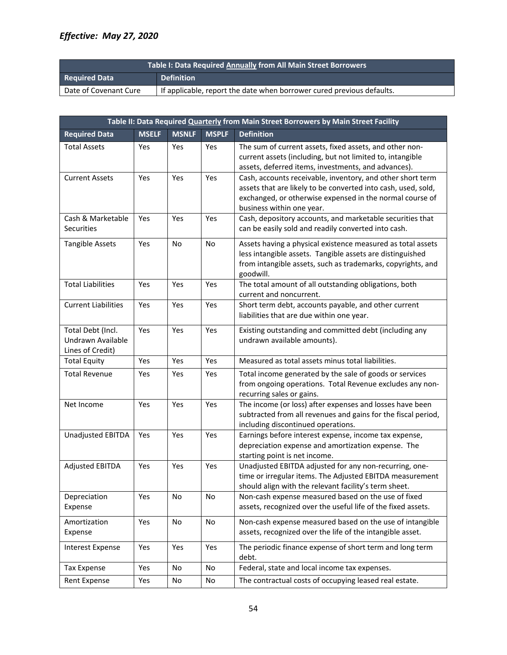| <b>Table I: Data Required Annually from All Main Street Borrowers</b> |                                                                       |  |  |
|-----------------------------------------------------------------------|-----------------------------------------------------------------------|--|--|
| <b>Required Data</b>                                                  | <b>Definition</b>                                                     |  |  |
| Date of Covenant Cure                                                 | If applicable, report the date when borrower cured previous defaults. |  |  |

| Table II: Data Required Quarterly from Main Street Borrowers by Main Street Facility |              |              |              |                                                                                                                                                                                                                      |  |  |
|--------------------------------------------------------------------------------------|--------------|--------------|--------------|----------------------------------------------------------------------------------------------------------------------------------------------------------------------------------------------------------------------|--|--|
| <b>Required Data</b>                                                                 | <b>MSELF</b> | <b>MSNLF</b> | <b>MSPLF</b> | <b>Definition</b>                                                                                                                                                                                                    |  |  |
| <b>Total Assets</b>                                                                  | Yes          | Yes          | Yes          | The sum of current assets, fixed assets, and other non-<br>current assets (including, but not limited to, intangible<br>assets, deferred items, investments, and advances).                                          |  |  |
| <b>Current Assets</b>                                                                | Yes          | Yes          | Yes          | Cash, accounts receivable, inventory, and other short term<br>assets that are likely to be converted into cash, used, sold,<br>exchanged, or otherwise expensed in the normal course of<br>business within one year. |  |  |
| Cash & Marketable<br>Securities                                                      | Yes          | Yes          | Yes          | Cash, depository accounts, and marketable securities that<br>can be easily sold and readily converted into cash.                                                                                                     |  |  |
| <b>Tangible Assets</b>                                                               | Yes          | No           | No           | Assets having a physical existence measured as total assets<br>less intangible assets. Tangible assets are distinguished<br>from intangible assets, such as trademarks, copyrights, and<br>goodwill.                 |  |  |
| <b>Total Liabilities</b>                                                             | Yes          | Yes          | Yes          | The total amount of all outstanding obligations, both<br>current and noncurrent.                                                                                                                                     |  |  |
| <b>Current Liabilities</b>                                                           | Yes          | Yes          | Yes          | Short term debt, accounts payable, and other current<br>liabilities that are due within one year.                                                                                                                    |  |  |
| Total Debt (Incl.<br>Undrawn Available<br>Lines of Credit)                           | Yes          | Yes          | Yes          | Existing outstanding and committed debt (including any<br>undrawn available amounts).                                                                                                                                |  |  |
| <b>Total Equity</b>                                                                  | Yes          | Yes          | Yes          | Measured as total assets minus total liabilities.                                                                                                                                                                    |  |  |
| <b>Total Revenue</b>                                                                 | Yes          | Yes          | Yes          | Total income generated by the sale of goods or services<br>from ongoing operations. Total Revenue excludes any non-<br>recurring sales or gains.                                                                     |  |  |
| Net Income                                                                           | Yes          | Yes          | Yes          | The income (or loss) after expenses and losses have been<br>subtracted from all revenues and gains for the fiscal period,<br>including discontinued operations.                                                      |  |  |
| Unadjusted EBITDA                                                                    | Yes          | Yes          | Yes          | Earnings before interest expense, income tax expense,<br>depreciation expense and amortization expense. The<br>starting point is net income.                                                                         |  |  |
| <b>Adjusted EBITDA</b>                                                               | Yes          | Yes          | Yes          | Unadjusted EBITDA adjusted for any non-recurring, one-<br>time or irregular items. The Adjusted EBITDA measurement<br>should align with the relevant facility's term sheet.                                          |  |  |
| Depreciation<br>Expense                                                              | Yes          | No           | No           | Non-cash expense measured based on the use of fixed<br>assets, recognized over the useful life of the fixed assets.                                                                                                  |  |  |
| Amortization<br>Expense                                                              | Yes          | No           | No           | Non-cash expense measured based on the use of intangible<br>assets, recognized over the life of the intangible asset.                                                                                                |  |  |
| <b>Interest Expense</b>                                                              | Yes          | Yes          | Yes          | The periodic finance expense of short term and long term<br>debt.                                                                                                                                                    |  |  |
| Tax Expense                                                                          | Yes          | No           | No           | Federal, state and local income tax expenses.                                                                                                                                                                        |  |  |
| Rent Expense                                                                         | Yes          | No           | No           | The contractual costs of occupying leased real estate.                                                                                                                                                               |  |  |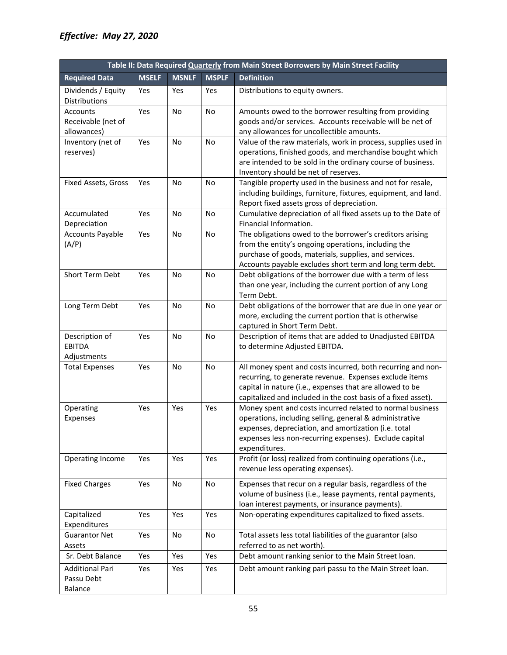| Table II: Data Required Quarterly from Main Street Borrowers by Main Street Facility |              |              |              |                                                                                                                                                                                                                                                         |  |  |
|--------------------------------------------------------------------------------------|--------------|--------------|--------------|---------------------------------------------------------------------------------------------------------------------------------------------------------------------------------------------------------------------------------------------------------|--|--|
| <b>Required Data</b>                                                                 | <b>MSELF</b> | <b>MSNLF</b> | <b>MSPLF</b> | <b>Definition</b>                                                                                                                                                                                                                                       |  |  |
| Dividends / Equity<br>Distributions                                                  | Yes          | Yes          | Yes          | Distributions to equity owners.                                                                                                                                                                                                                         |  |  |
| <b>Accounts</b><br>Receivable (net of<br>allowances)                                 | Yes          | No           | No           | Amounts owed to the borrower resulting from providing<br>goods and/or services. Accounts receivable will be net of<br>any allowances for uncollectible amounts.                                                                                         |  |  |
| Inventory (net of<br>reserves)                                                       | Yes          | No           | No           | Value of the raw materials, work in process, supplies used in<br>operations, finished goods, and merchandise bought which<br>are intended to be sold in the ordinary course of business.<br>Inventory should be net of reserves.                        |  |  |
| Fixed Assets, Gross                                                                  | Yes          | <b>No</b>    | <b>No</b>    | Tangible property used in the business and not for resale,<br>including buildings, furniture, fixtures, equipment, and land.<br>Report fixed assets gross of depreciation.                                                                              |  |  |
| Accumulated<br>Depreciation                                                          | Yes          | No           | No           | Cumulative depreciation of all fixed assets up to the Date of<br>Financial Information.                                                                                                                                                                 |  |  |
| <b>Accounts Payable</b><br>(A/P)                                                     | Yes          | No           | No           | The obligations owed to the borrower's creditors arising<br>from the entity's ongoing operations, including the<br>purchase of goods, materials, supplies, and services.<br>Accounts payable excludes short term and long term debt.                    |  |  |
| Short Term Debt                                                                      | Yes          | No           | No           | Debt obligations of the borrower due with a term of less<br>than one year, including the current portion of any Long<br>Term Debt.                                                                                                                      |  |  |
| Long Term Debt                                                                       | Yes          | No           | <b>No</b>    | Debt obligations of the borrower that are due in one year or<br>more, excluding the current portion that is otherwise<br>captured in Short Term Debt.                                                                                                   |  |  |
| Description of<br><b>EBITDA</b><br>Adjustments                                       | Yes          | No           | <b>No</b>    | Description of items that are added to Unadjusted EBITDA<br>to determine Adjusted EBITDA.                                                                                                                                                               |  |  |
| <b>Total Expenses</b>                                                                | Yes          | No           | No           | All money spent and costs incurred, both recurring and non-<br>recurring, to generate revenue. Expenses exclude items<br>capital in nature (i.e., expenses that are allowed to be<br>capitalized and included in the cost basis of a fixed asset).      |  |  |
| Operating<br>Expenses                                                                | Yes          | Yes          | Yes          | Money spent and costs incurred related to normal business<br>operations, including selling, general & administrative<br>expenses, depreciation, and amortization (i.e. total<br>expenses less non-recurring expenses). Exclude capital<br>expenditures. |  |  |
| Operating Income                                                                     | Yes          | Yes          | Yes          | Profit (or loss) realized from continuing operations (i.e.,<br>revenue less operating expenses).                                                                                                                                                        |  |  |
| <b>Fixed Charges</b>                                                                 | Yes          | No           | No           | Expenses that recur on a regular basis, regardless of the<br>volume of business (i.e., lease payments, rental payments,<br>loan interest payments, or insurance payments).                                                                              |  |  |
| Capitalized<br>Expenditures                                                          | Yes          | Yes          | Yes          | Non-operating expenditures capitalized to fixed assets.                                                                                                                                                                                                 |  |  |
| <b>Guarantor Net</b><br>Assets                                                       | Yes          | No           | No           | Total assets less total liabilities of the guarantor (also<br>referred to as net worth).                                                                                                                                                                |  |  |
| Sr. Debt Balance                                                                     | Yes          | Yes          | Yes          | Debt amount ranking senior to the Main Street loan.                                                                                                                                                                                                     |  |  |
| <b>Additional Pari</b><br>Passu Debt<br>Balance                                      | Yes          | Yes          | Yes          | Debt amount ranking pari passu to the Main Street loan.                                                                                                                                                                                                 |  |  |